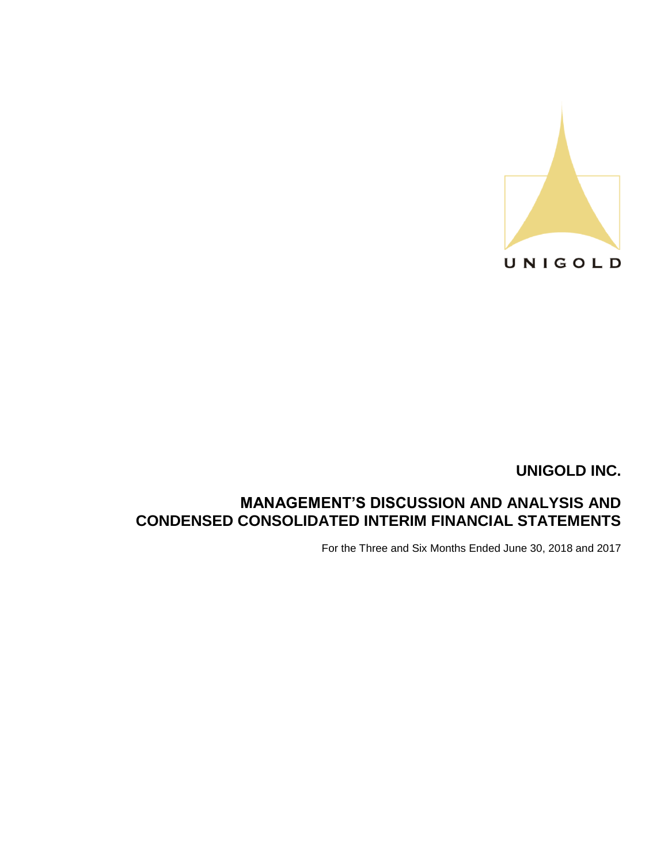

# **MANAGEMENT'S DISCUSSION AND ANALYSIS AND CONDENSED CONSOLIDATED INTERIM FINANCIAL STATEMENTS**

For the Three and Six Months Ended June 30, 2018 and 2017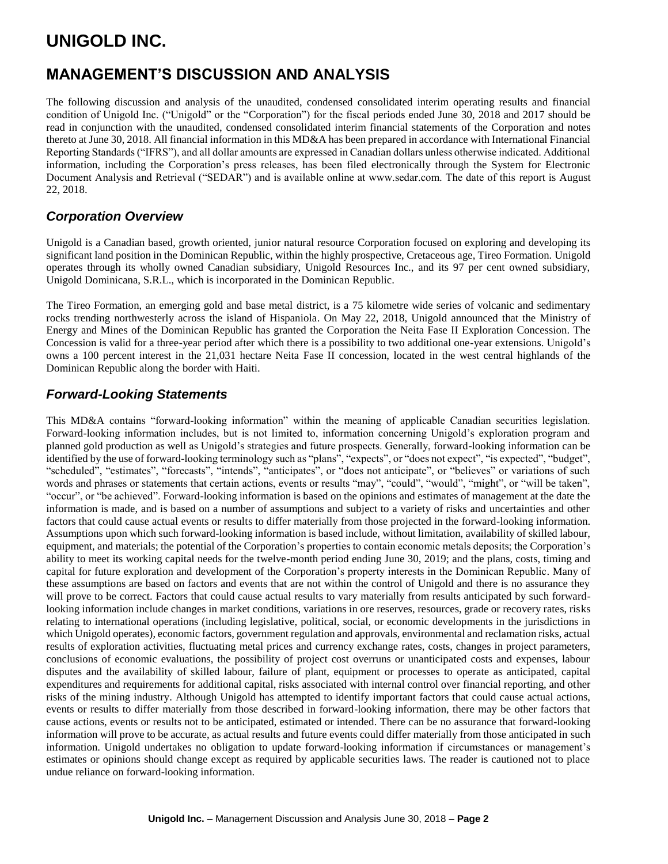# **MANAGEMENT'S DISCUSSION AND ANALYSIS**

The following discussion and analysis of the unaudited, condensed consolidated interim operating results and financial condition of Unigold Inc. ("Unigold" or the "Corporation") for the fiscal periods ended June 30, 2018 and 2017 should be read in conjunction with the unaudited, condensed consolidated interim financial statements of the Corporation and notes thereto at June 30, 2018. All financial information in this MD&A has been prepared in accordance with International Financial Reporting Standards ("IFRS"), and all dollar amounts are expressed in Canadian dollars unless otherwise indicated. Additional information, including the Corporation's press releases, has been filed electronically through the System for Electronic Document Analysis and Retrieval ("SEDAR") and is available online at www.sedar.com. The date of this report is August 22, 2018.

## *Corporation Overview*

Unigold is a Canadian based, growth oriented, junior natural resource Corporation focused on exploring and developing its significant land position in the Dominican Republic, within the highly prospective, Cretaceous age, Tireo Formation. Unigold operates through its wholly owned Canadian subsidiary, Unigold Resources Inc., and its 97 per cent owned subsidiary, Unigold Dominicana, S.R.L., which is incorporated in the Dominican Republic.

The Tireo Formation, an emerging gold and base metal district, is a 75 kilometre wide series of volcanic and sedimentary rocks trending northwesterly across the island of Hispaniola. On May 22, 2018, Unigold announced that the Ministry of Energy and Mines of the Dominican Republic has granted the Corporation the Neita Fase II Exploration Concession. The Concession is valid for a three-year period after which there is a possibility to two additional one-year extensions. Unigold's owns a 100 percent interest in the 21,031 hectare Neita Fase II concession, located in the west central highlands of the Dominican Republic along the border with Haiti.

## *Forward-Looking Statements*

This MD&A contains "forward-looking information" within the meaning of applicable Canadian securities legislation. Forward-looking information includes, but is not limited to, information concerning Unigold's exploration program and planned gold production as well as Unigold's strategies and future prospects. Generally, forward-looking information can be identified by the use of forward-looking terminology such as "plans", "expects", or "does not expect", "is expected", "budget", "scheduled", "estimates", "forecasts", "intends", "anticipates", or "does not anticipate", or "believes" or variations of such words and phrases or statements that certain actions, events or results "may", "could", "would", "might", or "will be taken", "occur", or "be achieved". Forward-looking information is based on the opinions and estimates of management at the date the information is made, and is based on a number of assumptions and subject to a variety of risks and uncertainties and other factors that could cause actual events or results to differ materially from those projected in the forward-looking information. Assumptions upon which such forward-looking information is based include, without limitation, availability of skilled labour, equipment, and materials; the potential of the Corporation's properties to contain economic metals deposits; the Corporation's ability to meet its working capital needs for the twelve-month period ending June 30, 2019; and the plans, costs, timing and capital for future exploration and development of the Corporation's property interests in the Dominican Republic. Many of these assumptions are based on factors and events that are not within the control of Unigold and there is no assurance they will prove to be correct. Factors that could cause actual results to vary materially from results anticipated by such forwardlooking information include changes in market conditions, variations in ore reserves, resources, grade or recovery rates, risks relating to international operations (including legislative, political, social, or economic developments in the jurisdictions in which Unigold operates), economic factors, government regulation and approvals, environmental and reclamation risks, actual results of exploration activities, fluctuating metal prices and currency exchange rates, costs, changes in project parameters, conclusions of economic evaluations, the possibility of project cost overruns or unanticipated costs and expenses, labour disputes and the availability of skilled labour, failure of plant, equipment or processes to operate as anticipated, capital expenditures and requirements for additional capital, risks associated with internal control over financial reporting, and other risks of the mining industry. Although Unigold has attempted to identify important factors that could cause actual actions, events or results to differ materially from those described in forward-looking information, there may be other factors that cause actions, events or results not to be anticipated, estimated or intended. There can be no assurance that forward-looking information will prove to be accurate, as actual results and future events could differ materially from those anticipated in such information. Unigold undertakes no obligation to update forward-looking information if circumstances or management's estimates or opinions should change except as required by applicable securities laws. The reader is cautioned not to place undue reliance on forward-looking information.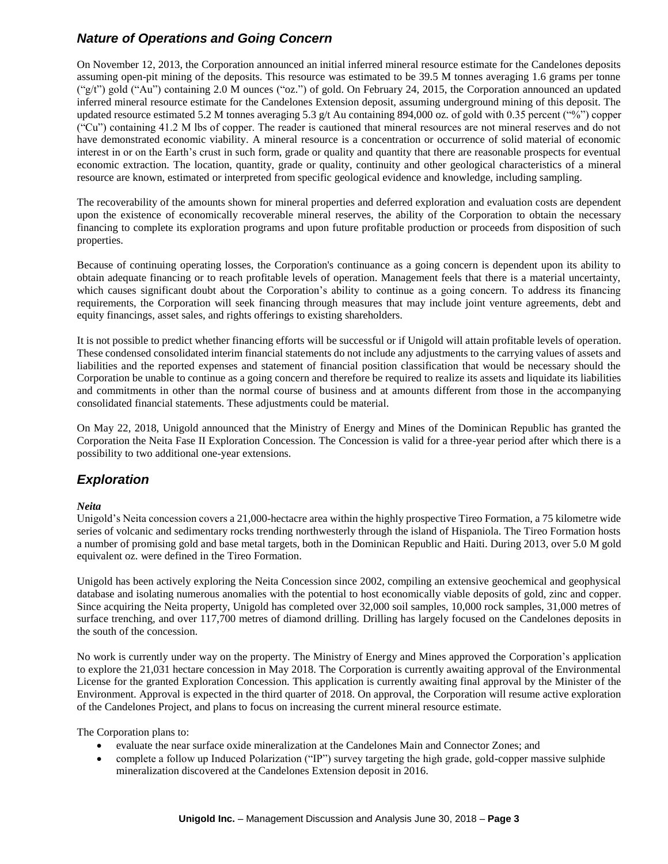## *Nature of Operations and Going Concern*

On November 12, 2013, the Corporation announced an initial inferred mineral resource estimate for the Candelones deposits assuming open-pit mining of the deposits. This resource was estimated to be 39.5 M tonnes averaging 1.6 grams per tonne  $({}^{\omega}g/t$ ") gold ("Au") containing 2.0 M ounces ("oz.") of gold. On February 24, 2015, the Corporation announced an updated inferred mineral resource estimate for the Candelones Extension deposit, assuming underground mining of this deposit. The updated resource estimated 5.2 M tonnes averaging 5.3 g/t Au containing 894,000 oz. of gold with 0.35 percent ("%") copper ("Cu") containing 41.2 M lbs of copper. The reader is cautioned that mineral resources are not mineral reserves and do not have demonstrated economic viability. A mineral resource is a concentration or occurrence of solid material of economic interest in or on the Earth's crust in such form, grade or quality and quantity that there are reasonable prospects for eventual economic extraction. The location, quantity, grade or quality, continuity and other geological characteristics of a mineral resource are known, estimated or interpreted from specific geological evidence and knowledge, including sampling.

The recoverability of the amounts shown for mineral properties and deferred exploration and evaluation costs are dependent upon the existence of economically recoverable mineral reserves, the ability of the Corporation to obtain the necessary financing to complete its exploration programs and upon future profitable production or proceeds from disposition of such properties.

Because of continuing operating losses, the Corporation's continuance as a going concern is dependent upon its ability to obtain adequate financing or to reach profitable levels of operation. Management feels that there is a material uncertainty, which causes significant doubt about the Corporation's ability to continue as a going concern. To address its financing requirements, the Corporation will seek financing through measures that may include joint venture agreements, debt and equity financings, asset sales, and rights offerings to existing shareholders.

It is not possible to predict whether financing efforts will be successful or if Unigold will attain profitable levels of operation. These condensed consolidated interim financial statements do not include any adjustments to the carrying values of assets and liabilities and the reported expenses and statement of financial position classification that would be necessary should the Corporation be unable to continue as a going concern and therefore be required to realize its assets and liquidate its liabilities and commitments in other than the normal course of business and at amounts different from those in the accompanying consolidated financial statements. These adjustments could be material.

On May 22, 2018, Unigold announced that the Ministry of Energy and Mines of the Dominican Republic has granted the Corporation the Neita Fase II Exploration Concession. The Concession is valid for a three-year period after which there is a possibility to two additional one-year extensions.

## *Exploration*

#### *Neita*

Unigold's Neita concession covers a 21,000-hectacre area within the highly prospective Tireo Formation, a 75 kilometre wide series of volcanic and sedimentary rocks trending northwesterly through the island of Hispaniola. The Tireo Formation hosts a number of promising gold and base metal targets, both in the Dominican Republic and Haiti. During 2013, over 5.0 M gold equivalent oz. were defined in the Tireo Formation.

Unigold has been actively exploring the Neita Concession since 2002, compiling an extensive geochemical and geophysical database and isolating numerous anomalies with the potential to host economically viable deposits of gold, zinc and copper. Since acquiring the Neita property, Unigold has completed over 32,000 soil samples, 10,000 rock samples, 31,000 metres of surface trenching, and over 117,700 metres of diamond drilling. Drilling has largely focused on the Candelones deposits in the south of the concession.

No work is currently under way on the property. The Ministry of Energy and Mines approved the Corporation's application to explore the 21,031 hectare concession in May 2018. The Corporation is currently awaiting approval of the Environmental License for the granted Exploration Concession. This application is currently awaiting final approval by the Minister of the Environment. Approval is expected in the third quarter of 2018. On approval, the Corporation will resume active exploration of the Candelones Project, and plans to focus on increasing the current mineral resource estimate.

The Corporation plans to:

- evaluate the near surface oxide mineralization at the Candelones Main and Connector Zones; and
- complete a follow up Induced Polarization ("IP") survey targeting the high grade, gold-copper massive sulphide mineralization discovered at the Candelones Extension deposit in 2016.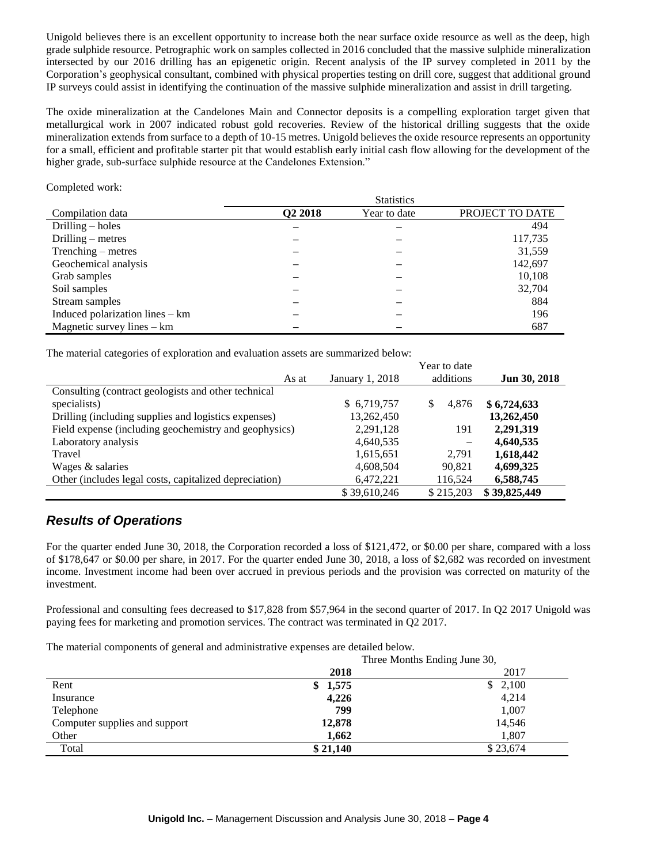Unigold believes there is an excellent opportunity to increase both the near surface oxide resource as well as the deep, high grade sulphide resource. Petrographic work on samples collected in 2016 concluded that the massive sulphide mineralization intersected by our 2016 drilling has an epigenetic origin. Recent analysis of the IP survey completed in 2011 by the Corporation's geophysical consultant, combined with physical properties testing on drill core, suggest that additional ground IP surveys could assist in identifying the continuation of the massive sulphide mineralization and assist in drill targeting.

The oxide mineralization at the Candelones Main and Connector deposits is a compelling exploration target given that metallurgical work in 2007 indicated robust gold recoveries. Review of the historical drilling suggests that the oxide mineralization extends from surface to a depth of 10-15 metres. Unigold believes the oxide resource represents an opportunity for a small, efficient and profitable starter pit that would establish early initial cash flow allowing for the development of the higher grade, sub-surface sulphide resource at the Candelones Extension."

#### Completed work:

|                                 | <b>Statistics</b>   |              |                 |  |  |
|---------------------------------|---------------------|--------------|-----------------|--|--|
| Compilation data                | Q <sub>2</sub> 2018 | Year to date | PROJECT TO DATE |  |  |
| Drilling $-$ holes              |                     |              | 494             |  |  |
| Drilling $-$ metres             |                     |              | 117,735         |  |  |
| Trenching – metres              |                     |              | 31,559          |  |  |
| Geochemical analysis            |                     |              | 142,697         |  |  |
| Grab samples                    |                     |              | 10,108          |  |  |
| Soil samples                    |                     |              | 32,704          |  |  |
| Stream samples                  |                     |              | 884             |  |  |
| Induced polarization lines – km |                     |              | 196             |  |  |
| Magnetic survey lines $-$ km    |                     |              | 687             |  |  |

The material categories of exploration and evaluation assets are summarized below:

|                                                        |                 | Year to date |              |
|--------------------------------------------------------|-----------------|--------------|--------------|
| As at                                                  | January 1, 2018 | additions    | Jun 30, 2018 |
| Consulting (contract geologists and other technical    |                 |              |              |
| specialists)                                           | \$6,719,757     | 4.876<br>S   | \$6,724,633  |
| Drilling (including supplies and logistics expenses)   | 13,262,450      |              | 13,262,450   |
| Field expense (including geochemistry and geophysics)  | 2,291,128       | 191          | 2,291,319    |
| Laboratory analysis                                    | 4,640,535       |              | 4,640,535    |
| Travel                                                 | 1,615,651       | 2.791        | 1,618,442    |
| Wages & salaries                                       | 4,608,504       | 90.821       | 4,699,325    |
| Other (includes legal costs, capitalized depreciation) | 6,472,221       | 116.524      | 6,588,745    |
|                                                        | \$39,610,246    | \$215,203    | \$39,825,449 |

## *Results of Operations*

For the quarter ended June 30, 2018, the Corporation recorded a loss of \$121,472, or \$0.00 per share, compared with a loss of \$178,647 or \$0.00 per share, in 2017. For the quarter ended June 30, 2018, a loss of \$2,682 was recorded on investment income. Investment income had been over accrued in previous periods and the provision was corrected on maturity of the investment.

Professional and consulting fees decreased to \$17,828 from \$57,964 in the second quarter of 2017. In Q2 2017 Unigold was paying fees for marketing and promotion services. The contract was terminated in Q2 2017.

The material components of general and administrative expenses are detailed below.

|                               | Three Months Ending June 30, |
|-------------------------------|------------------------------|
|                               | 2018<br>2017                 |
| Rent                          | \$1,575<br>\$2,100           |
| Insurance                     | 4,226<br>4,214               |
| Telephone                     | 1,007<br>799                 |
| Computer supplies and support | 14,546<br>12,878             |
| Other                         | 1,807<br>1,662               |
| Total                         | \$21,140<br>\$23,674         |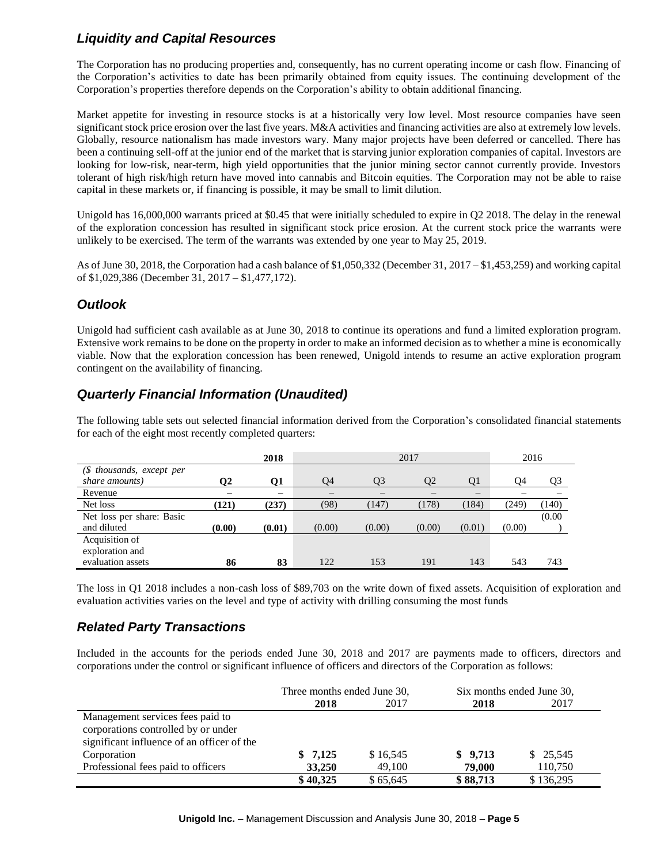## *Liquidity and Capital Resources*

The Corporation has no producing properties and, consequently, has no current operating income or cash flow. Financing of the Corporation's activities to date has been primarily obtained from equity issues. The continuing development of the Corporation's properties therefore depends on the Corporation's ability to obtain additional financing.

Market appetite for investing in resource stocks is at a historically very low level. Most resource companies have seen significant stock price erosion over the last five years. M&A activities and financing activities are also at extremely low levels. Globally, resource nationalism has made investors wary. Many major projects have been deferred or cancelled. There has been a continuing sell-off at the junior end of the market that is starving junior exploration companies of capital. Investors are looking for low-risk, near-term, high yield opportunities that the junior mining sector cannot currently provide. Investors tolerant of high risk/high return have moved into cannabis and Bitcoin equities. The Corporation may not be able to raise capital in these markets or, if financing is possible, it may be small to limit dilution.

Unigold has 16,000,000 warrants priced at \$0.45 that were initially scheduled to expire in Q2 2018. The delay in the renewal of the exploration concession has resulted in significant stock price erosion. At the current stock price the warrants were unlikely to be exercised. The term of the warrants was extended by one year to May 25, 2019.

As of June 30, 2018, the Corporation had a cash balance of \$1,050,332 (December 31, 2017 – \$1,453,259) and working capital of \$1,029,386 (December 31, 2017 – \$1,477,172).

## *Outlook*

Unigold had sufficient cash available as at June 30, 2018 to continue its operations and fund a limited exploration program. Extensive work remains to be done on the property in order to make an informed decision as to whether a mine is economically viable. Now that the exploration concession has been renewed, Unigold intends to resume an active exploration program contingent on the availability of financing.

## *Quarterly Financial Information (Unaudited)*

The following table sets out selected financial information derived from the Corporation's consolidated financial statements for each of the eight most recently completed quarters:

|                           |        | 2018   | 2017   |        |        |        | 2016   |        |
|---------------------------|--------|--------|--------|--------|--------|--------|--------|--------|
| (\$ thousands, except per |        |        |        |        |        |        |        |        |
| share amounts)            | Ο2     | 01     | O4     | O3     | О2     | O1     | Ο4     | Q3     |
| Revenue                   |        |        |        |        |        |        |        |        |
| Net loss                  | (121)  | (237)  | (98)   | (147)  | (178)  | (184)  | (249)  | (140)  |
| Net loss per share: Basic |        |        |        |        |        |        |        | (0.00) |
| and diluted               | (0.00) | (0.01) | (0.00) | (0.00) | (0.00) | (0.01) | (0.00) |        |
| Acquisition of            |        |        |        |        |        |        |        |        |
| exploration and           |        |        |        |        |        |        |        |        |
| evaluation assets         | 86     | 83     | 122    | 153    | 191    | 143    | 543    | 743    |

The loss in Q1 2018 includes a non-cash loss of \$89,703 on the write down of fixed assets. Acquisition of exploration and evaluation activities varies on the level and type of activity with drilling consuming the most funds

## *Related Party Transactions*

Included in the accounts for the periods ended June 30, 2018 and 2017 are payments made to officers, directors and corporations under the control or significant influence of officers and directors of the Corporation as follows:

|                                            | Three months ended June 30, |          | Six months ended June 30, |           |  |
|--------------------------------------------|-----------------------------|----------|---------------------------|-----------|--|
|                                            | 2018                        | 2017     | 2018                      | 2017      |  |
| Management services fees paid to           |                             |          |                           |           |  |
| corporations controlled by or under        |                             |          |                           |           |  |
| significant influence of an officer of the |                             |          |                           |           |  |
| Corporation                                | \$7,125                     | \$16,545 | \$9,713                   | \$25,545  |  |
| Professional fees paid to officers         | 33,250                      | 49,100   | 79,000                    | 110,750   |  |
|                                            | \$40,325                    | \$65,645 | \$88,713                  | \$136,295 |  |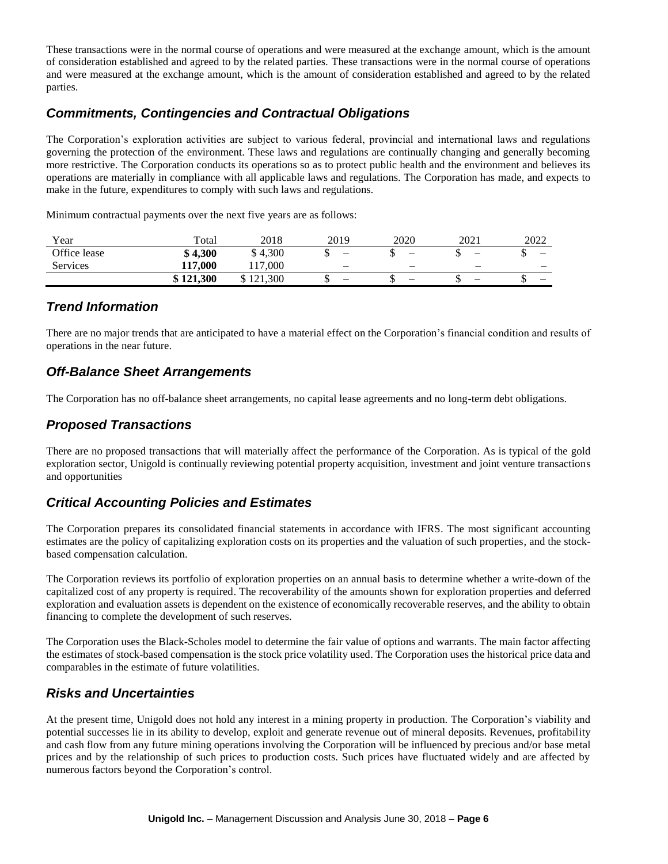These transactions were in the normal course of operations and were measured at the exchange amount, which is the amount of consideration established and agreed to by the related parties. These transactions were in the normal course of operations and were measured at the exchange amount, which is the amount of consideration established and agreed to by the related parties.

## *Commitments, Contingencies and Contractual Obligations*

The Corporation's exploration activities are subject to various federal, provincial and international laws and regulations governing the protection of the environment. These laws and regulations are continually changing and generally becoming more restrictive. The Corporation conducts its operations so as to protect public health and the environment and believes its operations are materially in compliance with all applicable laws and regulations. The Corporation has made, and expects to make in the future, expenditures to comply with such laws and regulations.

Minimum contractual payments over the next five years are as follows:

| Year         | Total         | 2018                    | 2019 | 2020 | 2021                     | 2022 |
|--------------|---------------|-------------------------|------|------|--------------------------|------|
| Office lease | \$4,300       | 4,300                   | –    |      | $\overline{\phantom{0}}$ |      |
| Services     | 117,000<br>┸┸ | .000<br>17              | -    | –    | $\overline{\phantom{0}}$ |      |
|              | \$121,300     | 1.300<br>$\sim$ 1<br>-- | –    |      | -                        |      |

## *Trend Information*

There are no major trends that are anticipated to have a material effect on the Corporation's financial condition and results of operations in the near future.

## *Off-Balance Sheet Arrangements*

The Corporation has no off-balance sheet arrangements, no capital lease agreements and no long-term debt obligations.

## *Proposed Transactions*

There are no proposed transactions that will materially affect the performance of the Corporation. As is typical of the gold exploration sector, Unigold is continually reviewing potential property acquisition, investment and joint venture transactions and opportunities

## *Critical Accounting Policies and Estimates*

The Corporation prepares its consolidated financial statements in accordance with IFRS. The most significant accounting estimates are the policy of capitalizing exploration costs on its properties and the valuation of such properties, and the stockbased compensation calculation.

The Corporation reviews its portfolio of exploration properties on an annual basis to determine whether a write-down of the capitalized cost of any property is required. The recoverability of the amounts shown for exploration properties and deferred exploration and evaluation assets is dependent on the existence of economically recoverable reserves, and the ability to obtain financing to complete the development of such reserves.

The Corporation uses the Black-Scholes model to determine the fair value of options and warrants. The main factor affecting the estimates of stock-based compensation is the stock price volatility used. The Corporation uses the historical price data and comparables in the estimate of future volatilities.

## *Risks and Uncertainties*

At the present time, Unigold does not hold any interest in a mining property in production. The Corporation's viability and potential successes lie in its ability to develop, exploit and generate revenue out of mineral deposits. Revenues, profitability and cash flow from any future mining operations involving the Corporation will be influenced by precious and/or base metal prices and by the relationship of such prices to production costs. Such prices have fluctuated widely and are affected by numerous factors beyond the Corporation's control.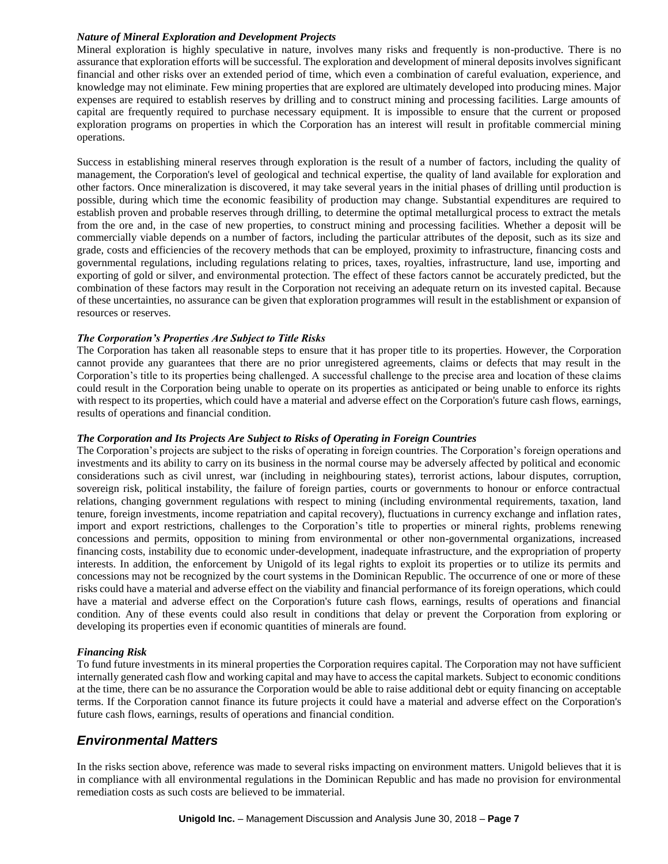#### *Nature of Mineral Exploration and Development Projects*

Mineral exploration is highly speculative in nature, involves many risks and frequently is non-productive. There is no assurance that exploration efforts will be successful. The exploration and development of mineral deposits involves significant financial and other risks over an extended period of time, which even a combination of careful evaluation, experience, and knowledge may not eliminate. Few mining properties that are explored are ultimately developed into producing mines. Major expenses are required to establish reserves by drilling and to construct mining and processing facilities. Large amounts of capital are frequently required to purchase necessary equipment. It is impossible to ensure that the current or proposed exploration programs on properties in which the Corporation has an interest will result in profitable commercial mining operations.

Success in establishing mineral reserves through exploration is the result of a number of factors, including the quality of management, the Corporation's level of geological and technical expertise, the quality of land available for exploration and other factors. Once mineralization is discovered, it may take several years in the initial phases of drilling until production is possible, during which time the economic feasibility of production may change. Substantial expenditures are required to establish proven and probable reserves through drilling, to determine the optimal metallurgical process to extract the metals from the ore and, in the case of new properties, to construct mining and processing facilities. Whether a deposit will be commercially viable depends on a number of factors, including the particular attributes of the deposit, such as its size and grade, costs and efficiencies of the recovery methods that can be employed, proximity to infrastructure, financing costs and governmental regulations, including regulations relating to prices, taxes, royalties, infrastructure, land use, importing and exporting of gold or silver, and environmental protection. The effect of these factors cannot be accurately predicted, but the combination of these factors may result in the Corporation not receiving an adequate return on its invested capital. Because of these uncertainties, no assurance can be given that exploration programmes will result in the establishment or expansion of resources or reserves.

#### *The Corporation's Properties Are Subject to Title Risks*

The Corporation has taken all reasonable steps to ensure that it has proper title to its properties. However, the Corporation cannot provide any guarantees that there are no prior unregistered agreements, claims or defects that may result in the Corporation's title to its properties being challenged. A successful challenge to the precise area and location of these claims could result in the Corporation being unable to operate on its properties as anticipated or being unable to enforce its rights with respect to its properties, which could have a material and adverse effect on the Corporation's future cash flows, earnings, results of operations and financial condition.

#### *The Corporation and Its Projects Are Subject to Risks of Operating in Foreign Countries*

The Corporation's projects are subject to the risks of operating in foreign countries. The Corporation's foreign operations and investments and its ability to carry on its business in the normal course may be adversely affected by political and economic considerations such as civil unrest, war (including in neighbouring states), terrorist actions, labour disputes, corruption, sovereign risk, political instability, the failure of foreign parties, courts or governments to honour or enforce contractual relations, changing government regulations with respect to mining (including environmental requirements, taxation, land tenure, foreign investments, income repatriation and capital recovery), fluctuations in currency exchange and inflation rates, import and export restrictions, challenges to the Corporation's title to properties or mineral rights, problems renewing concessions and permits, opposition to mining from environmental or other non-governmental organizations, increased financing costs, instability due to economic under-development, inadequate infrastructure, and the expropriation of property interests. In addition, the enforcement by Unigold of its legal rights to exploit its properties or to utilize its permits and concessions may not be recognized by the court systems in the Dominican Republic. The occurrence of one or more of these risks could have a material and adverse effect on the viability and financial performance of its foreign operations, which could have a material and adverse effect on the Corporation's future cash flows, earnings, results of operations and financial condition. Any of these events could also result in conditions that delay or prevent the Corporation from exploring or developing its properties even if economic quantities of minerals are found.

#### *Financing Risk*

To fund future investments in its mineral properties the Corporation requires capital. The Corporation may not have sufficient internally generated cash flow and working capital and may have to access the capital markets. Subject to economic conditions at the time, there can be no assurance the Corporation would be able to raise additional debt or equity financing on acceptable terms. If the Corporation cannot finance its future projects it could have a material and adverse effect on the Corporation's future cash flows, earnings, results of operations and financial condition.

### *Environmental Matters*

In the risks section above, reference was made to several risks impacting on environment matters. Unigold believes that it is in compliance with all environmental regulations in the Dominican Republic and has made no provision for environmental remediation costs as such costs are believed to be immaterial.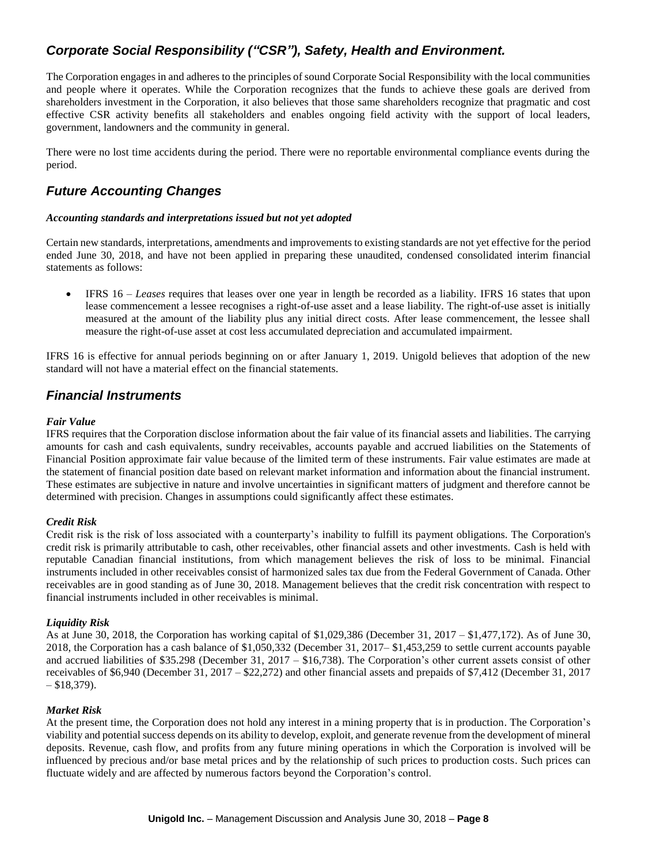## *Corporate Social Responsibility ("CSR"), Safety, Health and Environment.*

The Corporation engages in and adheres to the principles of sound Corporate Social Responsibility with the local communities and people where it operates. While the Corporation recognizes that the funds to achieve these goals are derived from shareholders investment in the Corporation, it also believes that those same shareholders recognize that pragmatic and cost effective CSR activity benefits all stakeholders and enables ongoing field activity with the support of local leaders, government, landowners and the community in general.

There were no lost time accidents during the period. There were no reportable environmental compliance events during the period.

## *Future Accounting Changes*

#### *Accounting standards and interpretations issued but not yet adopted*

Certain new standards, interpretations, amendments and improvements to existing standards are not yet effective for the period ended June 30, 2018, and have not been applied in preparing these unaudited, condensed consolidated interim financial statements as follows:

 IFRS 16 – *Leases* requires that leases over one year in length be recorded as a liability. IFRS 16 states that upon lease commencement a lessee recognises a right-of-use asset and a lease liability. The right-of-use asset is initially measured at the amount of the liability plus any initial direct costs. After lease commencement, the lessee shall measure the right-of-use asset at cost less accumulated depreciation and accumulated impairment.

IFRS 16 is effective for annual periods beginning on or after January 1, 2019. Unigold believes that adoption of the new standard will not have a material effect on the financial statements.

### *Financial Instruments*

#### *Fair Value*

IFRS requires that the Corporation disclose information about the fair value of its financial assets and liabilities. The carrying amounts for cash and cash equivalents, sundry receivables, accounts payable and accrued liabilities on the Statements of Financial Position approximate fair value because of the limited term of these instruments. Fair value estimates are made at the statement of financial position date based on relevant market information and information about the financial instrument. These estimates are subjective in nature and involve uncertainties in significant matters of judgment and therefore cannot be determined with precision. Changes in assumptions could significantly affect these estimates.

#### *Credit Risk*

Credit risk is the risk of loss associated with a counterparty's inability to fulfill its payment obligations. The Corporation's credit risk is primarily attributable to cash, other receivables, other financial assets and other investments. Cash is held with reputable Canadian financial institutions, from which management believes the risk of loss to be minimal. Financial instruments included in other receivables consist of harmonized sales tax due from the Federal Government of Canada. Other receivables are in good standing as of June 30, 2018. Management believes that the credit risk concentration with respect to financial instruments included in other receivables is minimal.

#### *Liquidity Risk*

As at June 30, 2018, the Corporation has working capital of \$1,029,386 (December 31, 2017 – \$1,477,172). As of June 30, 2018, the Corporation has a cash balance of \$1,050,332 (December 31, 2017– \$1,453,259 to settle current accounts payable and accrued liabilities of \$35.298 (December 31, 2017 – \$16,738). The Corporation's other current assets consist of other receivables of \$6,940 (December 31, 2017 – \$22,272) and other financial assets and prepaids of \$7,412 (December 31, 2017  $-$  \$18,379).

#### *Market Risk*

At the present time, the Corporation does not hold any interest in a mining property that is in production. The Corporation's viability and potential success depends on its ability to develop, exploit, and generate revenue from the development of mineral deposits. Revenue, cash flow, and profits from any future mining operations in which the Corporation is involved will be influenced by precious and/or base metal prices and by the relationship of such prices to production costs. Such prices can fluctuate widely and are affected by numerous factors beyond the Corporation's control.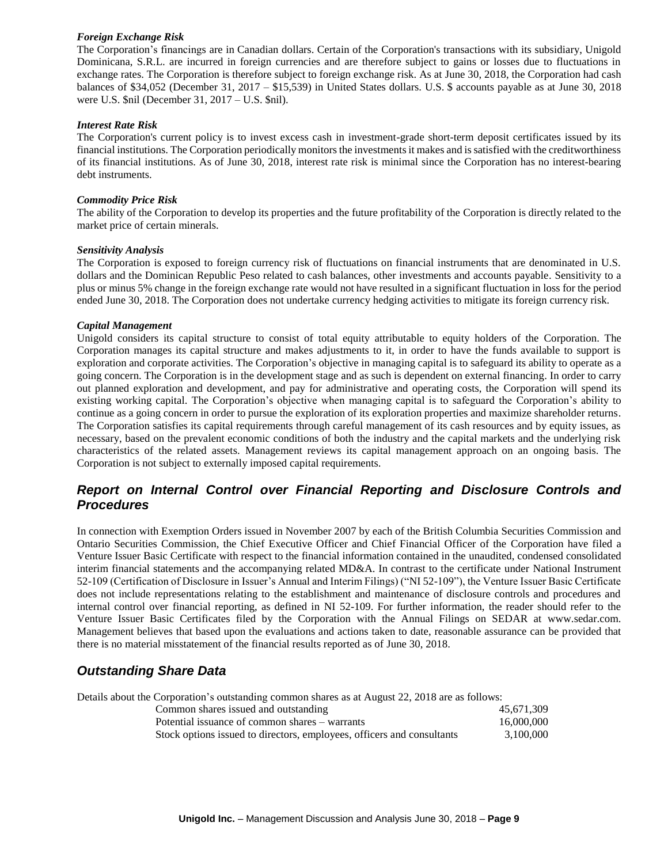#### *Foreign Exchange Risk*

The Corporation's financings are in Canadian dollars. Certain of the Corporation's transactions with its subsidiary, Unigold Dominicana, S.R.L. are incurred in foreign currencies and are therefore subject to gains or losses due to fluctuations in exchange rates. The Corporation is therefore subject to foreign exchange risk. As at June 30, 2018, the Corporation had cash balances of \$34,052 (December 31, 2017 – \$15,539) in United States dollars. U.S. \$ accounts payable as at June 30, 2018 were U.S. \$nil (December 31, 2017 – U.S. \$nil).

#### *Interest Rate Risk*

The Corporation's current policy is to invest excess cash in investment-grade short-term deposit certificates issued by its financial institutions. The Corporation periodically monitors the investments it makes and is satisfied with the creditworthiness of its financial institutions. As of June 30, 2018, interest rate risk is minimal since the Corporation has no interest-bearing debt instruments.

#### *Commodity Price Risk*

The ability of the Corporation to develop its properties and the future profitability of the Corporation is directly related to the market price of certain minerals.

#### *Sensitivity Analysis*

The Corporation is exposed to foreign currency risk of fluctuations on financial instruments that are denominated in U.S. dollars and the Dominican Republic Peso related to cash balances, other investments and accounts payable. Sensitivity to a plus or minus 5% change in the foreign exchange rate would not have resulted in a significant fluctuation in loss for the period ended June 30, 2018. The Corporation does not undertake currency hedging activities to mitigate its foreign currency risk.

#### *Capital Management*

Unigold considers its capital structure to consist of total equity attributable to equity holders of the Corporation. The Corporation manages its capital structure and makes adjustments to it, in order to have the funds available to support is exploration and corporate activities. The Corporation's objective in managing capital is to safeguard its ability to operate as a going concern. The Corporation is in the development stage and as such is dependent on external financing. In order to carry out planned exploration and development, and pay for administrative and operating costs, the Corporation will spend its existing working capital. The Corporation's objective when managing capital is to safeguard the Corporation's ability to continue as a going concern in order to pursue the exploration of its exploration properties and maximize shareholder returns. The Corporation satisfies its capital requirements through careful management of its cash resources and by equity issues, as necessary, based on the prevalent economic conditions of both the industry and the capital markets and the underlying risk characteristics of the related assets. Management reviews its capital management approach on an ongoing basis. The Corporation is not subject to externally imposed capital requirements.

## *Report on Internal Control over Financial Reporting and Disclosure Controls and Procedures*

In connection with Exemption Orders issued in November 2007 by each of the British Columbia Securities Commission and Ontario Securities Commission, the Chief Executive Officer and Chief Financial Officer of the Corporation have filed a Venture Issuer Basic Certificate with respect to the financial information contained in the unaudited, condensed consolidated interim financial statements and the accompanying related MD&A. In contrast to the certificate under National Instrument 52-109 (Certification of Disclosure in Issuer's Annual and Interim Filings) ("NI 52-109"), the Venture Issuer Basic Certificate does not include representations relating to the establishment and maintenance of disclosure controls and procedures and internal control over financial reporting, as defined in NI 52-109. For further information, the reader should refer to the Venture Issuer Basic Certificates filed by the Corporation with the Annual Filings on SEDAR at www.sedar.com. Management believes that based upon the evaluations and actions taken to date, reasonable assurance can be provided that there is no material misstatement of the financial results reported as of June 30, 2018.

## *Outstanding Share Data*

Details about the Corporation's outstanding common shares as at August 22, 2018 are as follows:

| Common shares issued and outstanding                                   | 45.671.309 |
|------------------------------------------------------------------------|------------|
| Potential issuance of common shares – warrants                         | 16,000,000 |
| Stock options issued to directors, employees, officers and consultants | 3.100,000  |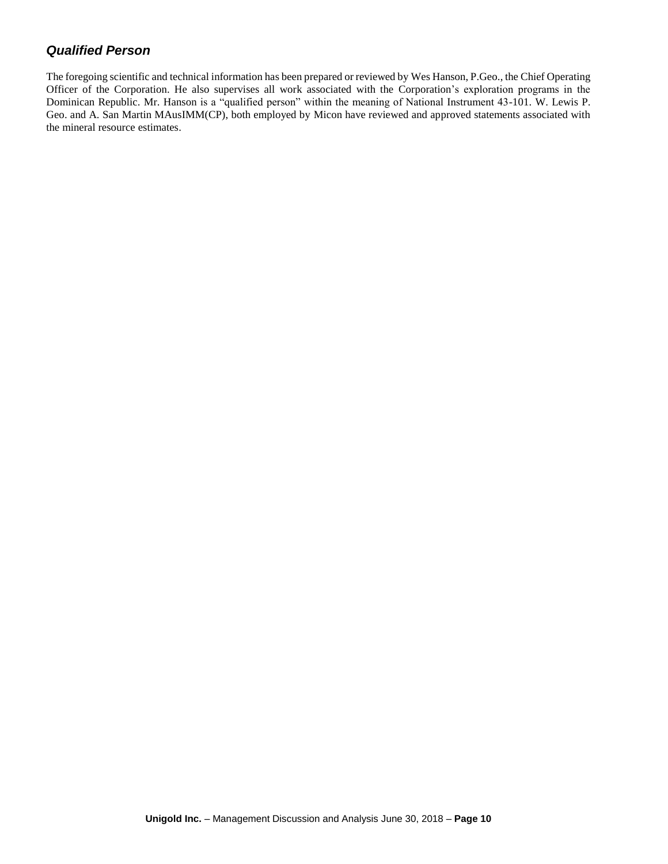## *Qualified Person*

The foregoing scientific and technical information has been prepared or reviewed by Wes Hanson, P.Geo., the Chief Operating Officer of the Corporation. He also supervises all work associated with the Corporation's exploration programs in the Dominican Republic. Mr. Hanson is a "qualified person" within the meaning of National Instrument 43-101. W. Lewis P. Geo. and A. San Martin MAusIMM(CP), both employed by Micon have reviewed and approved statements associated with the mineral resource estimates.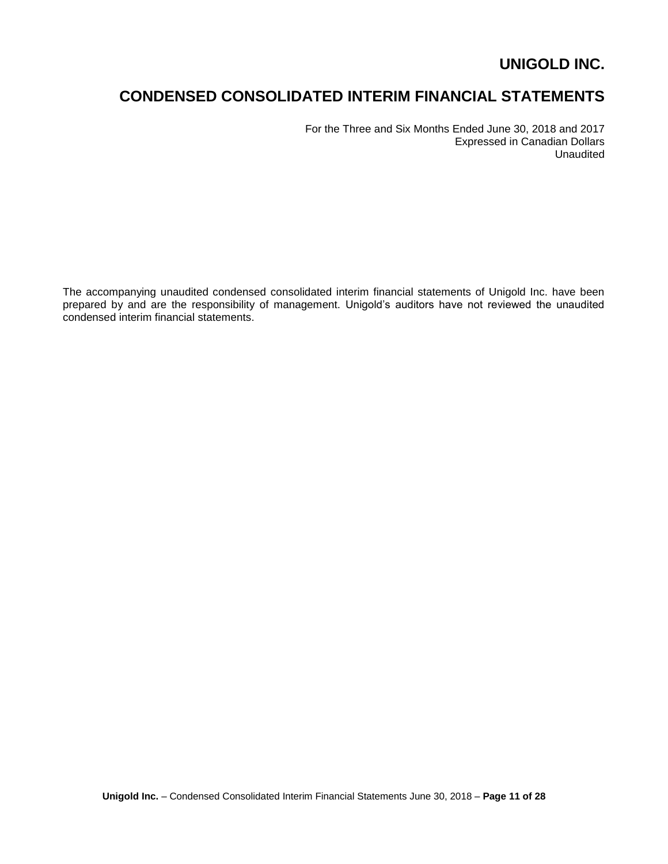# **CONDENSED CONSOLIDATED INTERIM FINANCIAL STATEMENTS**

For the Three and Six Months Ended June 30, 2018 and 2017 Expressed in Canadian Dollars Unaudited

The accompanying unaudited condensed consolidated interim financial statements of Unigold Inc. have been prepared by and are the responsibility of management. Unigold's auditors have not reviewed the unaudited condensed interim financial statements.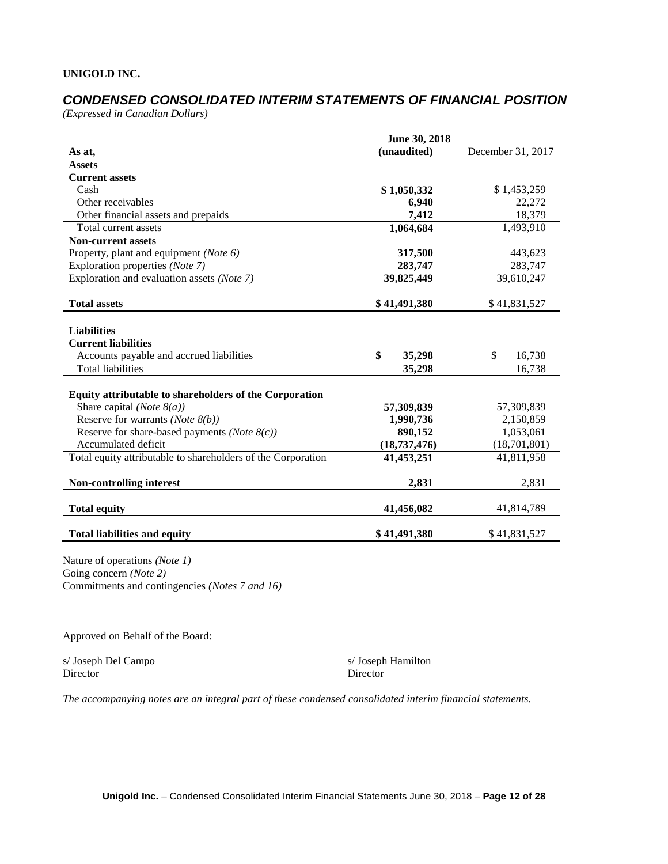## *CONDENSED CONSOLIDATED INTERIM STATEMENTS OF FINANCIAL POSITION*

*(Expressed in Canadian Dollars)*

|                                                              | June 30, 2018  |                   |
|--------------------------------------------------------------|----------------|-------------------|
| As at,                                                       | (unaudited)    | December 31, 2017 |
| <b>Assets</b>                                                |                |                   |
| <b>Current assets</b>                                        |                |                   |
| Cash                                                         | \$1,050,332    | \$1,453,259       |
| Other receivables                                            | 6,940          | 22,272            |
| Other financial assets and prepaids                          | 7,412          | 18,379            |
| Total current assets                                         | 1,064,684      | 1,493,910         |
| <b>Non-current assets</b>                                    |                |                   |
| Property, plant and equipment (Note 6)                       | 317,500        | 443,623           |
| Exploration properties (Note 7)                              | 283,747        | 283,747           |
| Exploration and evaluation assets (Note 7)                   | 39,825,449     | 39,610,247        |
|                                                              |                |                   |
| <b>Total assets</b>                                          | \$41,491,380   | \$41,831,527      |
|                                                              |                |                   |
| <b>Liabilities</b>                                           |                |                   |
| <b>Current liabilities</b>                                   |                |                   |
| Accounts payable and accrued liabilities                     | \$<br>35,298   | \$<br>16,738      |
| <b>Total liabilities</b>                                     | 35,298         | 16,738            |
|                                                              |                |                   |
| Equity attributable to shareholders of the Corporation       |                |                   |
| Share capital (Note $8(a)$ )                                 | 57,309,839     | 57,309,839        |
| Reserve for warrants (Note $8(b)$ )                          | 1,990,736      | 2,150,859         |
| Reserve for share-based payments ( <i>Note</i> $8(c)$ )      | 890,152        | 1,053,061         |
| Accumulated deficit                                          | (18, 737, 476) | (18,701,801)      |
| Total equity attributable to shareholders of the Corporation | 41,453,251     | 41,811,958        |
|                                                              |                |                   |
| <b>Non-controlling interest</b>                              | 2,831          | 2,831             |
|                                                              |                |                   |
| <b>Total equity</b>                                          | 41,456,082     | 41,814,789        |
| <b>Total liabilities and equity</b>                          | \$41,491,380   | \$41,831,527      |
|                                                              |                |                   |

Nature of operations *(Note 1)* Going concern *(Note 2)* Commitments and contingencies *(Notes 7 and 16)*

Approved on Behalf of the Board:

s/ Joseph Del Campo s/ Joseph Hamilton Director Director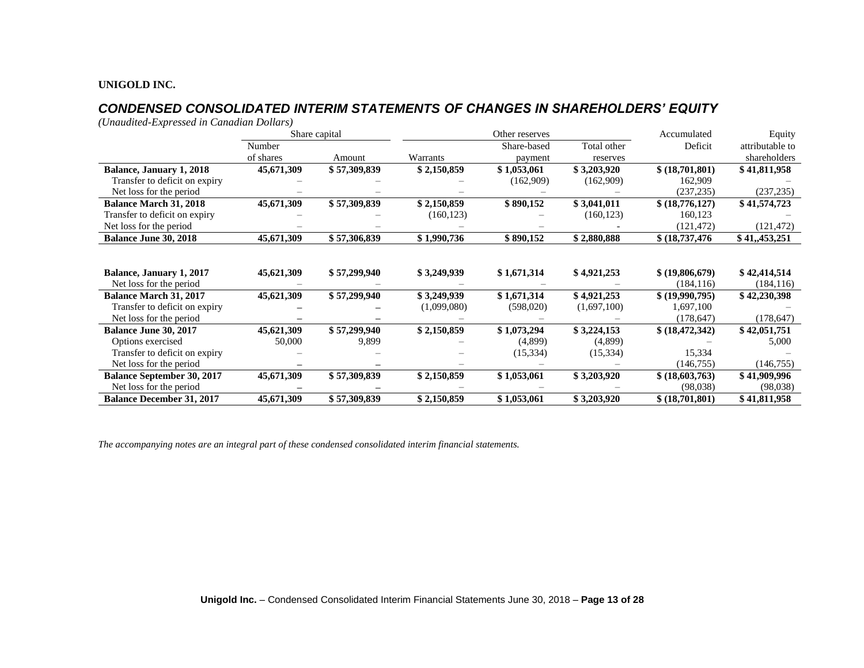## *CONDENSED CONSOLIDATED INTERIM STATEMENTS OF CHANGES IN SHAREHOLDERS' EQUITY*

*(Unaudited-Expressed in Canadian Dollars)*

|                                   |            | Share capital | Other reserves |             |             | Accumulated<br>Equity |                 |
|-----------------------------------|------------|---------------|----------------|-------------|-------------|-----------------------|-----------------|
|                                   | Number     |               |                | Share-based | Total other | Deficit               | attributable to |
|                                   | of shares  | Amount        | Warrants       | payment     | reserves    |                       | shareholders    |
| <b>Balance, January 1, 2018</b>   | 45,671,309 | \$57,309,839  | \$2,150,859    | \$1,053,061 | \$3,203,920 | \$ (18,701,801)       | \$41,811,958    |
| Transfer to deficit on expiry     |            |               |                | (162,909)   | (162,909)   | 162,909               |                 |
| Net loss for the period           |            |               |                |             |             | (237, 235)            | (237, 235)      |
| <b>Balance March 31, 2018</b>     | 45,671,309 | \$57,309,839  | \$2,150,859    | \$890,152   | \$3,041,011 | \$ (18,776,127)       | \$41,574,723    |
| Transfer to deficit on expiry     |            |               | (160, 123)     |             | (160, 123)  | 160,123               |                 |
| Net loss for the period           |            |               |                |             |             | (121, 472)            | (121, 472)      |
| <b>Balance June 30, 2018</b>      | 45,671,309 | \$57,306,839  | \$1,990,736    | \$890,152   | \$2,880,888 | \$(18,737,476)        | \$41,,453,251   |
|                                   |            |               |                |             |             |                       |                 |
|                                   |            |               |                |             |             |                       |                 |
| <b>Balance, January 1, 2017</b>   | 45,621,309 | \$57,299,940  | \$3,249,939    | \$1,671,314 | \$4,921,253 | \$ (19,806,679)       | \$42,414,514    |
| Net loss for the period           |            |               |                |             |             | (184, 116)            | (184, 116)      |
| <b>Balance March 31, 2017</b>     | 45,621,309 | \$57,299,940  | \$3,249,939    | \$1,671,314 | \$4,921,253 | \$ (19,990,795)       | \$42,230,398    |
| Transfer to deficit on expiry     |            |               | (1,099,080)    | (598,020)   | (1,697,100) | 1,697,100             |                 |
| Net loss for the period           |            |               |                |             |             | (178, 647)            | (178, 647)      |
| Balance June 30, 2017             | 45,621,309 | \$57,299,940  | \$2,150,859    | \$1,073,294 | \$3,224,153 | \$ (18, 472, 342)     | \$42,051,751    |
| Options exercised                 | 50,000     | 9,899         |                | (4,899)     | (4,899)     |                       | 5,000           |
| Transfer to deficit on expiry     |            |               |                | (15,334)    | (15, 334)   | 15,334                |                 |
| Net loss for the period           |            |               |                |             |             | (146, 755)            | (146, 755)      |
| <b>Balance September 30, 2017</b> | 45,671,309 | \$57,309,839  | \$2,150,859    | \$1,053,061 | \$3,203,920 | \$ (18,603,763)       | \$41,909,996    |
| Net loss for the period           |            |               |                |             |             | (98,038)              | (98,038)        |
| <b>Balance December 31, 2017</b>  | 45,671,309 | \$57,309,839  | \$2,150,859    | \$1,053,061 | \$3,203,920 | \$ (18,701,801)       | \$41,811,958    |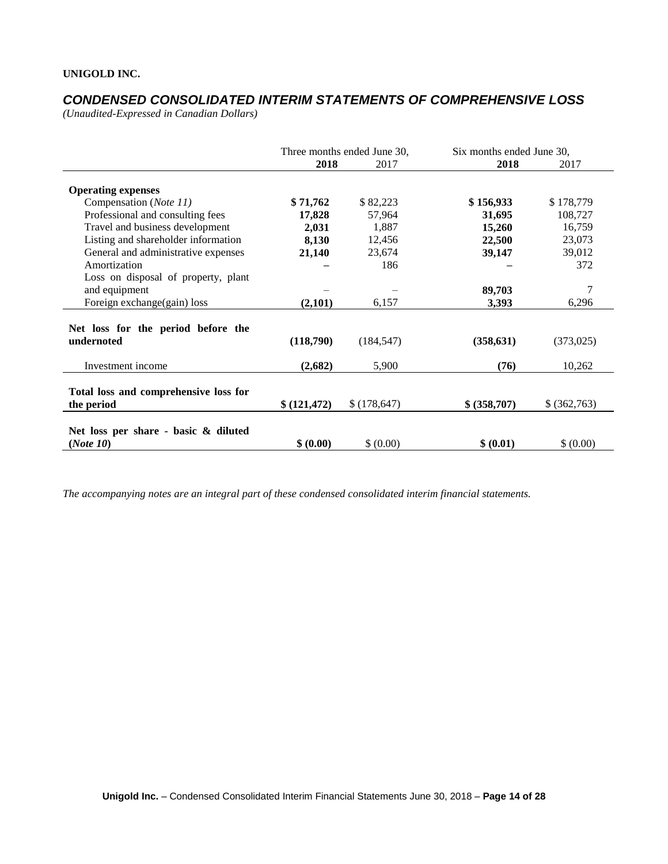## *CONDENSED CONSOLIDATED INTERIM STATEMENTS OF COMPREHENSIVE LOSS*

*(Unaudited-Expressed in Canadian Dollars)* 

|                                                     | Three months ended June 30, |              | Six months ended June 30, |              |  |
|-----------------------------------------------------|-----------------------------|--------------|---------------------------|--------------|--|
|                                                     | 2018                        | 2017         | 2018                      | 2017         |  |
| <b>Operating expenses</b>                           |                             |              |                           |              |  |
| Compensation (Note 11)                              | \$71,762                    | \$82,223     | \$156,933                 | \$178,779    |  |
| Professional and consulting fees                    | 17,828                      | 57,964       | 31,695                    | 108,727      |  |
| Travel and business development                     | 2,031                       | 1,887        | 15,260                    | 16,759       |  |
| Listing and shareholder information                 | 8,130                       | 12,456       | 22,500                    | 23,073       |  |
| General and administrative expenses                 | 21,140                      | 23,674       | 39,147                    | 39,012       |  |
| Amortization                                        |                             | 186          |                           | 372          |  |
| Loss on disposal of property, plant                 |                             |              |                           |              |  |
| and equipment                                       |                             |              | 89,703                    | 7            |  |
| Foreign exchange(gain) loss                         | (2,101)                     | 6,157        | 3,393                     | 6,296        |  |
| Net loss for the period before the<br>undernoted    | (118,790)                   | (184, 547)   | (358, 631)                | (373, 025)   |  |
| Investment income                                   | (2,682)                     | 5,900        | (76)                      | 10,262       |  |
| Total loss and comprehensive loss for<br>the period | \$(121, 472)                | \$(178, 647) | \$ (358,707)              | \$ (362,763) |  |
| Net loss per share - basic & diluted<br>(Note 10)   | \$ (0.00)                   | \$ (0.00)    | \$ (0.01)                 | \$ (0.00)    |  |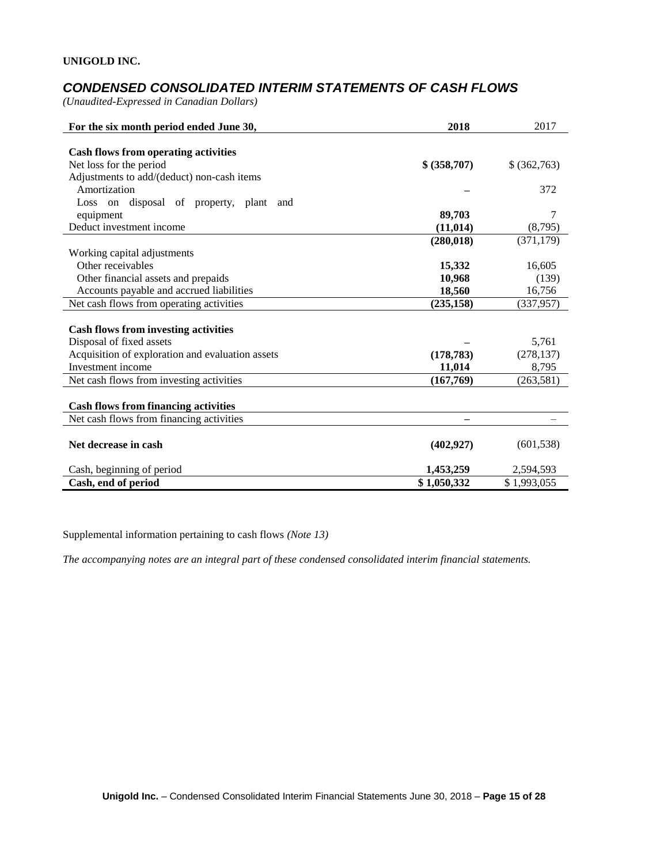## *CONDENSED CONSOLIDATED INTERIM STATEMENTS OF CASH FLOWS*

*(Unaudited-Expressed in Canadian Dollars)* 

| For the six month period ended June 30,          | 2018         | 2017         |
|--------------------------------------------------|--------------|--------------|
|                                                  |              |              |
| <b>Cash flows from operating activities</b>      |              |              |
| Net loss for the period                          | \$ (358,707) | \$ (362,763) |
| Adjustments to add/(deduct) non-cash items       |              |              |
| Amortization                                     |              | 372          |
| Loss on disposal of property, plant and          |              |              |
| equipment                                        | 89,703       | 7            |
| Deduct investment income                         | (11, 014)    | (8,795)      |
|                                                  | (280, 018)   | (371, 179)   |
| Working capital adjustments                      |              |              |
| Other receivables                                | 15,332       | 16,605       |
| Other financial assets and prepaids              | 10,968       | (139)        |
| Accounts payable and accrued liabilities         | 18,560       | 16,756       |
| Net cash flows from operating activities         | (235, 158)   | (337,957)    |
|                                                  |              |              |
| <b>Cash flows from investing activities</b>      |              |              |
| Disposal of fixed assets                         |              | 5,761        |
| Acquisition of exploration and evaluation assets | (178, 783)   | (278, 137)   |
| Investment income                                | 11,014       | 8,795        |
| Net cash flows from investing activities         | (167,769)    | (263, 581)   |
|                                                  |              |              |
| <b>Cash flows from financing activities</b>      |              |              |
| Net cash flows from financing activities         |              |              |
|                                                  |              |              |
| Net decrease in cash                             | (402, 927)   | (601, 538)   |
| Cash, beginning of period                        | 1,453,259    | 2,594,593    |
| Cash, end of period                              | \$1,050,332  | \$1,993,055  |

Supplemental information pertaining to cash flows *(Note 13)*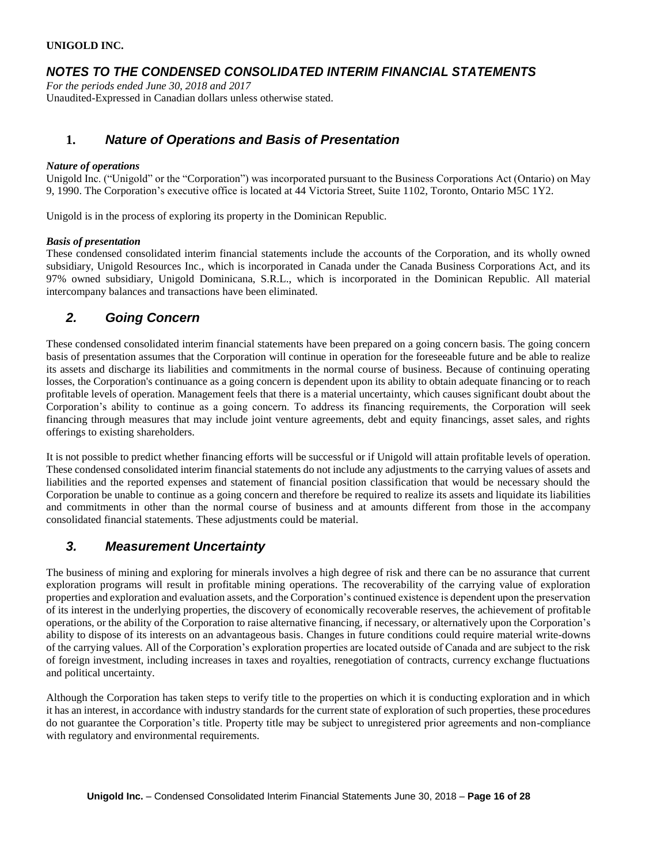## *NOTES TO THE CONDENSED CONSOLIDATED INTERIM FINANCIAL STATEMENTS*

*For the periods ended June 30, 2018 and 2017* Unaudited-Expressed in Canadian dollars unless otherwise stated.

## **1.** *Nature of Operations and Basis of Presentation*

#### *Nature of operations*

Unigold Inc. ("Unigold" or the "Corporation") was incorporated pursuant to the Business Corporations Act (Ontario) on May 9, 1990. The Corporation's executive office is located at 44 Victoria Street, Suite 1102, Toronto, Ontario M5C 1Y2.

Unigold is in the process of exploring its property in the Dominican Republic.

#### *Basis of presentation*

These condensed consolidated interim financial statements include the accounts of the Corporation, and its wholly owned subsidiary, Unigold Resources Inc., which is incorporated in Canada under the Canada Business Corporations Act, and its 97% owned subsidiary, Unigold Dominicana, S.R.L., which is incorporated in the Dominican Republic. All material intercompany balances and transactions have been eliminated.

### *2. Going Concern*

These condensed consolidated interim financial statements have been prepared on a going concern basis. The going concern basis of presentation assumes that the Corporation will continue in operation for the foreseeable future and be able to realize its assets and discharge its liabilities and commitments in the normal course of business. Because of continuing operating losses, the Corporation's continuance as a going concern is dependent upon its ability to obtain adequate financing or to reach profitable levels of operation. Management feels that there is a material uncertainty, which causes significant doubt about the Corporation's ability to continue as a going concern. To address its financing requirements, the Corporation will seek financing through measures that may include joint venture agreements, debt and equity financings, asset sales, and rights offerings to existing shareholders.

It is not possible to predict whether financing efforts will be successful or if Unigold will attain profitable levels of operation. These condensed consolidated interim financial statements do not include any adjustments to the carrying values of assets and liabilities and the reported expenses and statement of financial position classification that would be necessary should the Corporation be unable to continue as a going concern and therefore be required to realize its assets and liquidate its liabilities and commitments in other than the normal course of business and at amounts different from those in the accompany consolidated financial statements. These adjustments could be material.

### *3. Measurement Uncertainty*

The business of mining and exploring for minerals involves a high degree of risk and there can be no assurance that current exploration programs will result in profitable mining operations. The recoverability of the carrying value of exploration properties and exploration and evaluation assets, and the Corporation's continued existence is dependent upon the preservation of its interest in the underlying properties, the discovery of economically recoverable reserves, the achievement of profitable operations, or the ability of the Corporation to raise alternative financing, if necessary, or alternatively upon the Corporation's ability to dispose of its interests on an advantageous basis. Changes in future conditions could require material write-downs of the carrying values. All of the Corporation's exploration properties are located outside of Canada and are subject to the risk of foreign investment, including increases in taxes and royalties, renegotiation of contracts, currency exchange fluctuations and political uncertainty.

Although the Corporation has taken steps to verify title to the properties on which it is conducting exploration and in which it has an interest, in accordance with industry standards for the current state of exploration of such properties, these procedures do not guarantee the Corporation's title. Property title may be subject to unregistered prior agreements and non-compliance with regulatory and environmental requirements.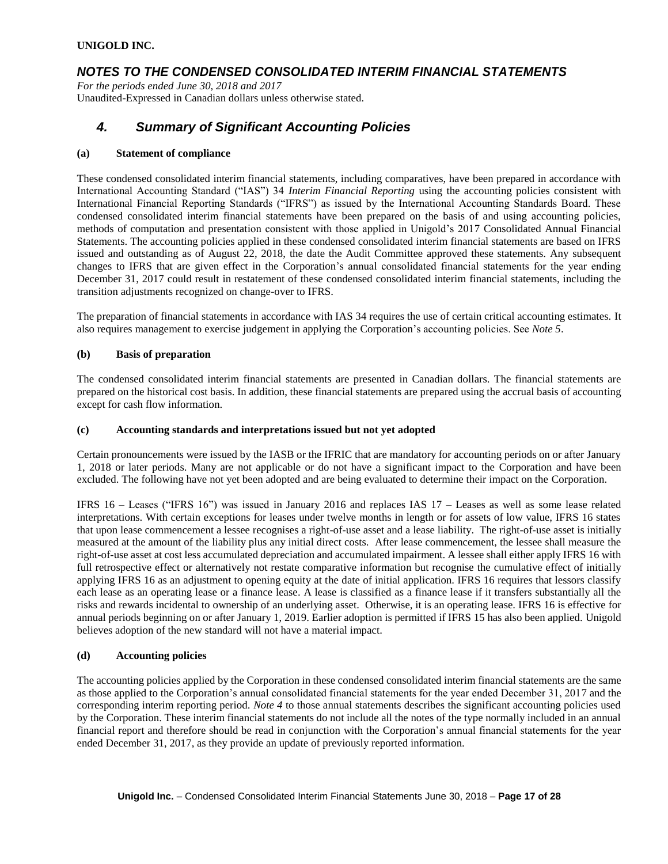## *NOTES TO THE CONDENSED CONSOLIDATED INTERIM FINANCIAL STATEMENTS*

*For the periods ended June 30, 2018 and 2017* Unaudited-Expressed in Canadian dollars unless otherwise stated.

## *4. Summary of Significant Accounting Policies*

#### **(a) Statement of compliance**

These condensed consolidated interim financial statements, including comparatives, have been prepared in accordance with International Accounting Standard ("IAS") 34 *Interim Financial Reporting* using the accounting policies consistent with International Financial Reporting Standards ("IFRS") as issued by the International Accounting Standards Board. These condensed consolidated interim financial statements have been prepared on the basis of and using accounting policies, methods of computation and presentation consistent with those applied in Unigold's 2017 Consolidated Annual Financial Statements. The accounting policies applied in these condensed consolidated interim financial statements are based on IFRS issued and outstanding as of August 22, 2018, the date the Audit Committee approved these statements. Any subsequent changes to IFRS that are given effect in the Corporation's annual consolidated financial statements for the year ending December 31, 2017 could result in restatement of these condensed consolidated interim financial statements, including the transition adjustments recognized on change-over to IFRS.

The preparation of financial statements in accordance with IAS 34 requires the use of certain critical accounting estimates. It also requires management to exercise judgement in applying the Corporation's accounting policies. See *Note 5*.

#### **(b) Basis of preparation**

The condensed consolidated interim financial statements are presented in Canadian dollars. The financial statements are prepared on the historical cost basis. In addition, these financial statements are prepared using the accrual basis of accounting except for cash flow information.

#### **(c) Accounting standards and interpretations issued but not yet adopted**

Certain pronouncements were issued by the IASB or the IFRIC that are mandatory for accounting periods on or after January 1, 2018 or later periods. Many are not applicable or do not have a significant impact to the Corporation and have been excluded. The following have not yet been adopted and are being evaluated to determine their impact on the Corporation.

IFRS 16 – Leases ("IFRS 16") was issued in January 2016 and replaces IAS 17 – Leases as well as some lease related interpretations. With certain exceptions for leases under twelve months in length or for assets of low value, IFRS 16 states that upon lease commencement a lessee recognises a right-of-use asset and a lease liability. The right-of-use asset is initially measured at the amount of the liability plus any initial direct costs. After lease commencement, the lessee shall measure the right-of-use asset at cost less accumulated depreciation and accumulated impairment. A lessee shall either apply IFRS 16 with full retrospective effect or alternatively not restate comparative information but recognise the cumulative effect of initially applying IFRS 16 as an adjustment to opening equity at the date of initial application. IFRS 16 requires that lessors classify each lease as an operating lease or a finance lease. A lease is classified as a finance lease if it transfers substantially all the risks and rewards incidental to ownership of an underlying asset. Otherwise, it is an operating lease. IFRS 16 is effective for annual periods beginning on or after January 1, 2019. Earlier adoption is permitted if IFRS 15 has also been applied. Unigold believes adoption of the new standard will not have a material impact.

#### **(d) Accounting policies**

The accounting policies applied by the Corporation in these condensed consolidated interim financial statements are the same as those applied to the Corporation's annual consolidated financial statements for the year ended December 31, 2017 and the corresponding interim reporting period. *Note 4* to those annual statements describes the significant accounting policies used by the Corporation. These interim financial statements do not include all the notes of the type normally included in an annual financial report and therefore should be read in conjunction with the Corporation's annual financial statements for the year ended December 31, 2017, as they provide an update of previously reported information.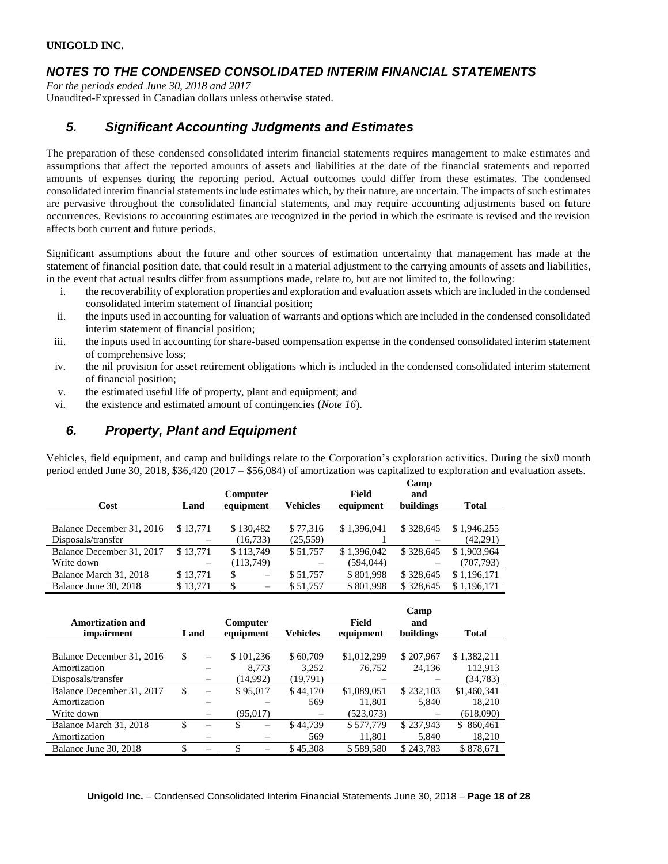## *NOTES TO THE CONDENSED CONSOLIDATED INTERIM FINANCIAL STATEMENTS*

*For the periods ended June 30, 2018 and 2017* Unaudited-Expressed in Canadian dollars unless otherwise stated.

## *5. Significant Accounting Judgments and Estimates*

The preparation of these condensed consolidated interim financial statements requires management to make estimates and assumptions that affect the reported amounts of assets and liabilities at the date of the financial statements and reported amounts of expenses during the reporting period. Actual outcomes could differ from these estimates. The condensed consolidated interim financial statements include estimates which, by their nature, are uncertain. The impacts of such estimates are pervasive throughout the consolidated financial statements, and may require accounting adjustments based on future occurrences. Revisions to accounting estimates are recognized in the period in which the estimate is revised and the revision affects both current and future periods.

Significant assumptions about the future and other sources of estimation uncertainty that management has made at the statement of financial position date, that could result in a material adjustment to the carrying amounts of assets and liabilities, in the event that actual results differ from assumptions made, relate to, but are not limited to, the following:

- i. the recoverability of exploration properties and exploration and evaluation assets which are included in the condensed consolidated interim statement of financial position;
- ii. the inputs used in accounting for valuation of warrants and options which are included in the condensed consolidated interim statement of financial position;
- iii. the inputs used in accounting for share-based compensation expense in the condensed consolidated interim statement of comprehensive loss;
- iv. the nil provision for asset retirement obligations which is included in the condensed consolidated interim statement of financial position;
- v. the estimated useful life of property, plant and equipment; and
- vi. the existence and estimated amount of contingencies (*Note 16*).

## *6. Property, Plant and Equipment*

Vehicles, field equipment, and camp and buildings relate to the Corporation's exploration activities. During the six0 month period ended June 30, 2018, \$36,420 (2017 – \$56,084) of amortization was capitalized to exploration and evaluation assets.

|                           |          |           |                 |             | Camp      |              |
|---------------------------|----------|-----------|-----------------|-------------|-----------|--------------|
|                           |          | Computer  |                 | Field       | and       |              |
| Cost                      | Land     | equipment | <b>Vehicles</b> | equipment   | buildings | <b>Total</b> |
|                           |          |           |                 |             |           |              |
| Balance December 31, 2016 | \$13,771 | \$130,482 | \$77,316        | \$1,396,041 | \$328,645 | \$1,946,255  |
| Disposals/transfer        |          | (16, 733) | (25,559)        |             |           | (42,291)     |
| Balance December 31, 2017 | \$13,771 | \$113,749 | \$51,757        | \$1,396,042 | \$328,645 | \$1,903,964  |
| Write down                |          | (113,749) |                 | (594, 044)  |           | (707,793)    |
| Balance March 31, 2018    | \$13,771 | \$        | \$51,757        | \$801.998   | \$328,645 | \$1,196,171  |
| Balance June 30, 2018     | \$13,771 | \$        | \$51,757        | \$801,998   | \$328,645 | \$1,196,171  |

| <b>Amortization and</b><br>impairment | Land |          | Computer<br>equipment |       | Vehicles | Field<br>equipment | Camp<br>and<br>buildings | <b>Total</b> |
|---------------------------------------|------|----------|-----------------------|-------|----------|--------------------|--------------------------|--------------|
|                                       |      |          |                       |       |          |                    |                          |              |
| Balance December 31, 2016             | \$   |          | \$101,236             |       | \$60,709 | \$1,012,299        | \$207,967                | \$1,382,211  |
| Amortization                          |      |          |                       | 8,773 | 3.252    | 76.752             | 24,136                   | 112,913      |
| Disposals/transfer                    |      |          | (14,992)              |       | (19,791) |                    |                          | (34, 783)    |
| Balance December 31, 2017             | \$   |          | \$95,017              |       | \$44,170 | \$1,089,051        | \$232,103                | \$1,460,341  |
| Amortization                          |      |          |                       |       | 569      | 11.801             | 5,840                    | 18,210       |
| Write down                            |      | $\equiv$ | (95,017)              |       |          | (523,073)          |                          | (618,090)    |
| Balance March 31, 2018                | \$   |          | \$                    |       | \$44.739 | \$577,779          | \$237.943                | \$860,461    |
| Amortization                          |      |          |                       |       | 569      | 11,801             | 5,840                    | 18,210       |
| Balance June 30, 2018                 | \$   |          | \$                    |       | \$45,308 | \$589,580          | \$243,783                | \$878,671    |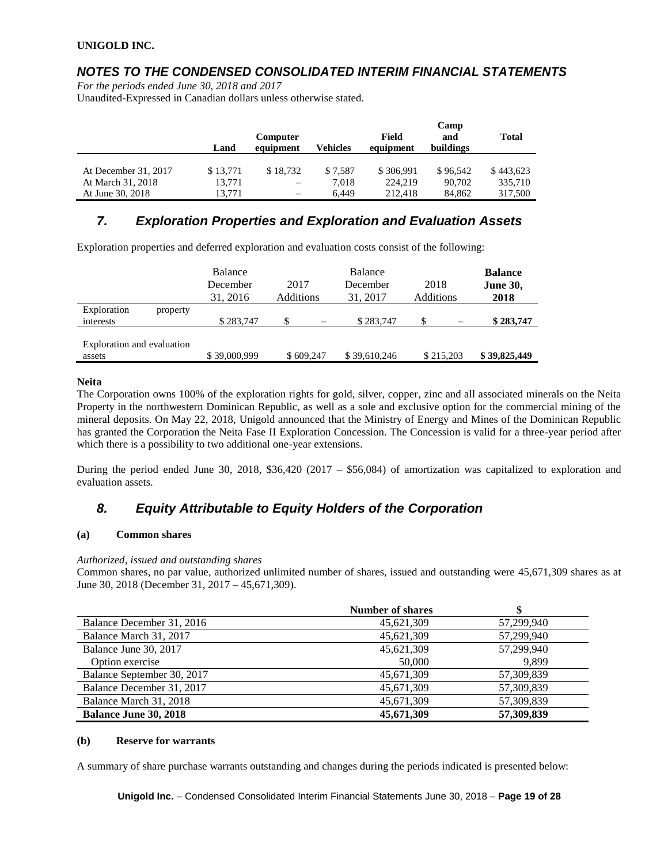## *NOTES TO THE CONDENSED CONSOLIDATED INTERIM FINANCIAL STATEMENTS*

*For the periods ended June 30, 2018 and 2017*

Unaudited-Expressed in Canadian dollars unless otherwise stated.

|                      |          |                          |          |           | Camp      |              |
|----------------------|----------|--------------------------|----------|-----------|-----------|--------------|
|                      |          | <b>Computer</b>          |          | Field     | and       | <b>Total</b> |
|                      | Land     | equipment                | Vehicles | equipment | buildings |              |
|                      |          |                          |          |           |           |              |
| At December 31, 2017 | \$13,771 | \$18.732                 | \$7.587  | \$306,991 | \$96,542  | \$443,623    |
| At March 31, 2018    | 13,771   | $\overline{\phantom{m}}$ | 7,018    | 224,219   | 90,702    | 335,710      |
| At June 30, 2018     | 13.771   | $\overline{\phantom{m}}$ | 6.449    | 212.418   | 84.862    | 317,500      |

## *7. Exploration Properties and Exploration and Evaluation Assets*

Exploration properties and deferred exploration and evaluation costs consist of the following:

|                                      | <b>Balance</b><br>December<br>31, 2016 | 2017<br><b>Additions</b> | <b>Balance</b><br>December<br>31, 2017 | 2018<br>Additions              | <b>Balance</b><br><b>June 30,</b><br>2018 |
|--------------------------------------|----------------------------------------|--------------------------|----------------------------------------|--------------------------------|-------------------------------------------|
| Exploration<br>property<br>interests | \$283,747                              | \$<br>$\frac{1}{2}$      | \$283,747                              | \$<br>$\overline{\phantom{0}}$ | \$283,747                                 |
| Exploration and evaluation<br>assets | \$39,000,999                           | \$609,247                | \$39,610,246                           | \$215,203                      | \$39,825,449                              |

#### **Neita**

The Corporation owns 100% of the exploration rights for gold, silver, copper, zinc and all associated minerals on the Neita Property in the northwestern Dominican Republic, as well as a sole and exclusive option for the commercial mining of the mineral deposits. On May 22, 2018, Unigold announced that the Ministry of Energy and Mines of the Dominican Republic has granted the Corporation the Neita Fase II Exploration Concession. The Concession is valid for a three-year period after which there is a possibility to two additional one-year extensions.

During the period ended June 30, 2018, \$36,420 (2017 – \$56,084) of amortization was capitalized to exploration and evaluation assets.

## *8. Equity Attributable to Equity Holders of the Corporation*

#### **(a) Common shares**

#### *Authorized, issued and outstanding shares*

Common shares, no par value, authorized unlimited number of shares, issued and outstanding were 45,671,309 shares as at June 30, 2018 (December 31, 2017 – 45,671,309).

|                              | <b>Number of shares</b> |            |
|------------------------------|-------------------------|------------|
| Balance December 31, 2016    | 45,621,309              | 57.299.940 |
| Balance March 31, 2017       | 45,621,309              | 57,299,940 |
| Balance June 30, 2017        | 45,621,309              | 57,299,940 |
| Option exercise              | 50,000                  | 9.899      |
| Balance September 30, 2017   | 45,671,309              | 57,309,839 |
| Balance December 31, 2017    | 45,671,309              | 57,309,839 |
| Balance March 31, 2018       | 45,671,309              | 57,309,839 |
| <b>Balance June 30, 2018</b> | 45,671,309              | 57,309,839 |

#### **(b) Reserve for warrants**

A summary of share purchase warrants outstanding and changes during the periods indicated is presented below: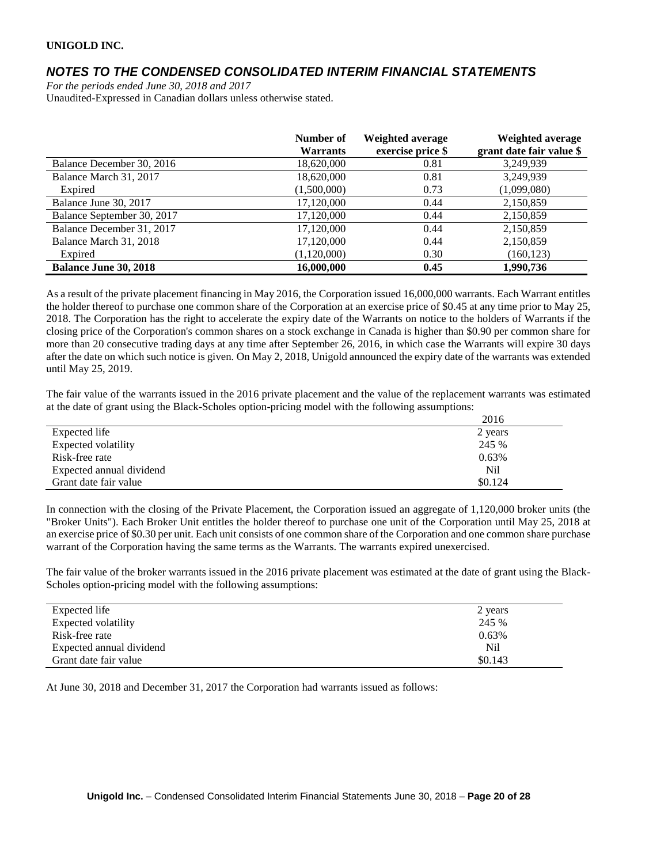## *NOTES TO THE CONDENSED CONSOLIDATED INTERIM FINANCIAL STATEMENTS*

*For the periods ended June 30, 2018 and 2017* Unaudited-Expressed in Canadian dollars unless otherwise stated.

|                              | Number of<br><b>Warrants</b> | Weighted average<br>exercise price \$ | Weighted average<br>grant date fair value \$ |
|------------------------------|------------------------------|---------------------------------------|----------------------------------------------|
| Balance December 30, 2016    | 18,620,000                   | 0.81                                  | 3,249,939                                    |
| Balance March 31, 2017       | 18,620,000                   | 0.81                                  | 3,249,939                                    |
| Expired                      | (1,500,000)                  | 0.73                                  | (1,099,080)                                  |
| Balance June 30, 2017        | 17,120,000                   | 0.44                                  | 2,150,859                                    |
| Balance September 30, 2017   | 17.120.000                   | 0.44                                  | 2,150,859                                    |
| Balance December 31, 2017    | 17,120,000                   | 0.44                                  | 2,150,859                                    |
| Balance March 31, 2018       | 17,120,000                   | 0.44                                  | 2,150,859                                    |
| Expired                      | (1,120,000)                  | 0.30                                  | (160, 123)                                   |
| <b>Balance June 30, 2018</b> | 16,000,000                   | 0.45                                  | 1,990,736                                    |

As a result of the private placement financing in May 2016, the Corporation issued 16,000,000 warrants. Each Warrant entitles the holder thereof to purchase one common share of the Corporation at an exercise price of \$0.45 at any time prior to May 25, 2018. The Corporation has the right to accelerate the expiry date of the Warrants on notice to the holders of Warrants if the closing price of the Corporation's common shares on a stock exchange in Canada is higher than \$0.90 per common share for more than 20 consecutive trading days at any time after September 26, 2016, in which case the Warrants will expire 30 days after the date on which such notice is given. On May 2, 2018, Unigold announced the expiry date of the warrants was extended until May 25, 2019.

The fair value of the warrants issued in the 2016 private placement and the value of the replacement warrants was estimated at the date of grant using the Black-Scholes option-pricing model with the following assumptions:

|                          | 2016    |
|--------------------------|---------|
| Expected life            | 2 years |
| Expected volatility      | 245 %   |
| Risk-free rate           | 0.63%   |
| Expected annual dividend | Nil     |
| Grant date fair value    | \$0.124 |

In connection with the closing of the Private Placement, the Corporation issued an aggregate of 1,120,000 broker units (the "Broker Units"). Each Broker Unit entitles the holder thereof to purchase one unit of the Corporation until May 25, 2018 at an exercise price of \$0.30 per unit. Each unit consists of one common share of the Corporation and one common share purchase warrant of the Corporation having the same terms as the Warrants. The warrants expired unexercised.

The fair value of the broker warrants issued in the 2016 private placement was estimated at the date of grant using the Black-Scholes option-pricing model with the following assumptions:

| Expected life            | 2 years |
|--------------------------|---------|
| Expected volatility      | 245 %   |
| Risk-free rate           | 0.63%   |
| Expected annual dividend | Nil     |
| Grant date fair value    | \$0.143 |

At June 30, 2018 and December 31, 2017 the Corporation had warrants issued as follows: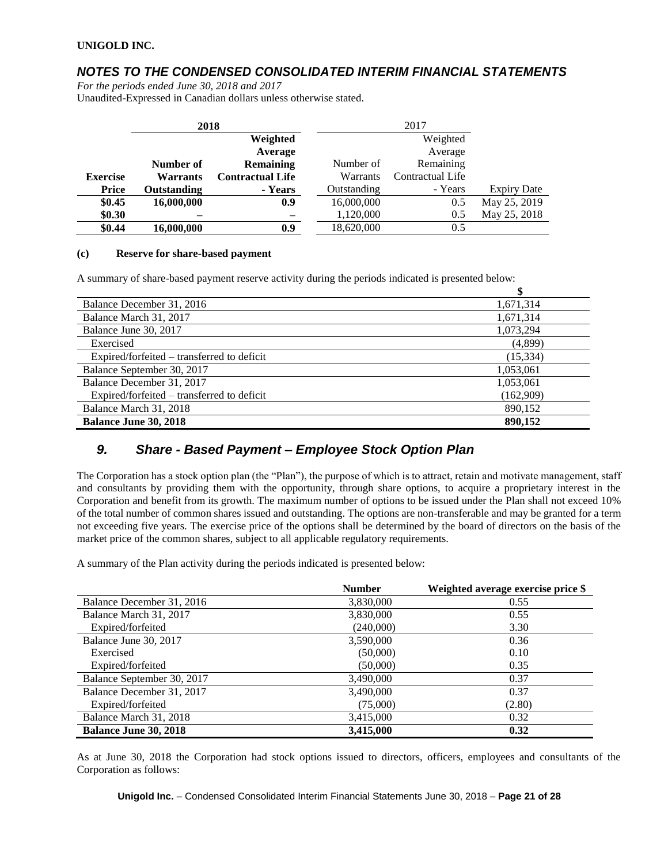## *NOTES TO THE CONDENSED CONSOLIDATED INTERIM FINANCIAL STATEMENTS*

*For the periods ended June 30, 2018 and 2017*

Unaudited-Expressed in Canadian dollars unless otherwise stated.

|                 | 2018            |                         |             | 2017             |                    |
|-----------------|-----------------|-------------------------|-------------|------------------|--------------------|
|                 |                 | Weighted                |             | Weighted         |                    |
|                 |                 | Average                 |             | Average          |                    |
|                 | Number of       | <b>Remaining</b>        | Number of   | Remaining        |                    |
| <b>Exercise</b> | <b>Warrants</b> | <b>Contractual Life</b> | Warrants    | Contractual Life |                    |
| <b>Price</b>    | Outstanding     | - Years                 | Outstanding | - Years          | <b>Expiry Date</b> |
| \$0.45          | 16,000,000      | 0.9                     | 16,000,000  | 0.5              | May 25, 2019       |
| \$0.30          |                 |                         | 1,120,000   | 0.5              | May 25, 2018       |
| \$0.44          | 16,000,000      | 0.9                     | 18,620,000  | 0.5              |                    |

#### **(c) Reserve for share-based payment**

A summary of share-based payment reserve activity during the periods indicated is presented below:

| Balance December 31, 2016                  | 1,671,314 |
|--------------------------------------------|-----------|
| Balance March 31, 2017                     | 1,671,314 |
| Balance June 30, 2017                      | 1,073,294 |
| Exercised                                  | (4,899)   |
| Expired/forfeited – transferred to deficit | (15, 334) |
| Balance September 30, 2017                 | 1,053,061 |
| Balance December 31, 2017                  | 1,053,061 |
| Expired/forfeited – transferred to deficit | (162,909) |
| Balance March 31, 2018                     | 890,152   |
| <b>Balance June 30, 2018</b>               | 890,152   |

### *9. Share - Based Payment – Employee Stock Option Plan*

The Corporation has a stock option plan (the "Plan"), the purpose of which is to attract, retain and motivate management, staff and consultants by providing them with the opportunity, through share options, to acquire a proprietary interest in the Corporation and benefit from its growth. The maximum number of options to be issued under the Plan shall not exceed 10% of the total number of common shares issued and outstanding. The options are non-transferable and may be granted for a term not exceeding five years. The exercise price of the options shall be determined by the board of directors on the basis of the market price of the common shares, subject to all applicable regulatory requirements.

A summary of the Plan activity during the periods indicated is presented below:

|                              | <b>Number</b> | Weighted average exercise price \$ |
|------------------------------|---------------|------------------------------------|
| Balance December 31, 2016    | 3,830,000     | 0.55                               |
| Balance March 31, 2017       | 3,830,000     | 0.55                               |
| Expired/forfeited            | (240,000)     | 3.30                               |
| Balance June 30, 2017        | 3,590,000     | 0.36                               |
| Exercised                    | (50,000)      | 0.10                               |
| Expired/forfeited            | (50,000)      | 0.35                               |
| Balance September 30, 2017   | 3,490,000     | 0.37                               |
| Balance December 31, 2017    | 3,490,000     | 0.37                               |
| Expired/forfeited            | (75,000)      | (2.80)                             |
| Balance March 31, 2018       | 3,415,000     | 0.32                               |
| <b>Balance June 30, 2018</b> | 3,415,000     | 0.32                               |

As at June 30, 2018 the Corporation had stock options issued to directors, officers, employees and consultants of the Corporation as follows: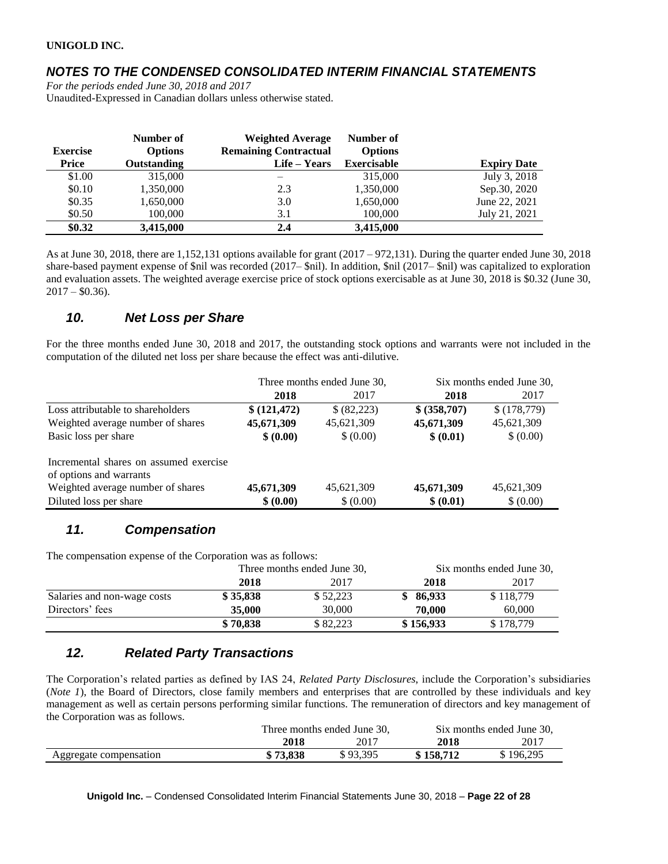## *NOTES TO THE CONDENSED CONSOLIDATED INTERIM FINANCIAL STATEMENTS*

*For the periods ended June 30, 2018 and 2017* Unaudited-Expressed in Canadian dollars unless otherwise stated.

| <b>Exercise</b> | Number of<br><b>Options</b> | <b>Weighted Average</b><br><b>Remaining Contractual</b> | Number of<br><b>Options</b> |                    |
|-----------------|-----------------------------|---------------------------------------------------------|-----------------------------|--------------------|
| <b>Price</b>    | Outstanding                 | Life – Years                                            | <b>Exercisable</b>          | <b>Expiry Date</b> |
| \$1.00          | 315,000                     |                                                         | 315,000                     | July 3, 2018       |
| \$0.10          | 1,350,000                   | 2.3                                                     | 1,350,000                   | Sep.30, 2020       |
| \$0.35          | 1,650,000                   | 3.0                                                     | 1,650,000                   | June 22, 2021      |
| \$0.50          | 100,000                     | 3.1                                                     | 100,000                     | July 21, 2021      |
| \$0.32          | 3,415,000                   | 2.4                                                     | 3,415,000                   |                    |

As at June 30, 2018, there are 1,152,131 options available for grant (2017 – 972,131). During the quarter ended June 30, 2018 share-based payment expense of \$nil was recorded (2017– \$nil). In addition, \$nil (2017– \$nil) was capitalized to exploration and evaluation assets. The weighted average exercise price of stock options exercisable as at June 30, 2018 is \$0.32 (June 30,  $2017 - $0.36$ .

## *10. Net Loss per Share*

For the three months ended June 30, 2018 and 2017, the outstanding stock options and warrants were not included in the computation of the diluted net loss per share because the effect was anti-dilutive.

|                                                                   | Three months ended June 30, |            |              | Six months ended June 30, |
|-------------------------------------------------------------------|-----------------------------|------------|--------------|---------------------------|
|                                                                   | 2018                        | 2017       | 2018         | 2017                      |
| Loss attributable to shareholders                                 | \$(121, 472)                | \$(82,223) | \$ (358,707) | \$(178,779)               |
| Weighted average number of shares                                 | 45,671,309                  | 45,621,309 | 45,671,309   | 45,621,309                |
| Basic loss per share                                              | \$ (0.00)                   | \$ (0.00)  | \$ (0.01)    | \$ (0.00)                 |
| Incremental shares on assumed exercise<br>of options and warrants |                             |            |              |                           |
| Weighted average number of shares                                 | 45,671,309                  | 45,621,309 | 45,671,309   | 45,621,309                |
| Diluted loss per share                                            | \$ (0.00)                   | \$ (0.00)  | \$ (0.01)    | \$ (0.00)                 |

## *11. Compensation*

The compensation expense of the Corporation was as follows:

|                             | Three months ended June 30, |          | Six months ended June 30, |           |
|-----------------------------|-----------------------------|----------|---------------------------|-----------|
|                             | 2018                        | 2017     | 2018                      | 2017      |
| Salaries and non-wage costs | \$35,838                    | \$52,223 | \$86.933                  | \$118,779 |
| Directors' fees             | 35,000                      | 30,000   | 70.000                    | 60,000    |
|                             | \$70,838                    | \$82,223 | \$156,933                 | \$178,779 |

## *12. Related Party Transactions*

The Corporation's related parties as defined by IAS 24, *Related Party Disclosures*, include the Corporation's subsidiaries (*Note 1*), the Board of Directors, close family members and enterprises that are controlled by these individuals and key management as well as certain persons performing similar functions. The remuneration of directors and key management of the Corporation was as follows.

|                        | Three months ended June 30. |          |           | Six months ended June 30, |
|------------------------|-----------------------------|----------|-----------|---------------------------|
|                        | 2018                        | 2017     | 2018      | 2017                      |
| Aggregate compensation | \$73.838                    | \$93.395 | \$158,712 | \$196,295                 |

**Unigold Inc.** – Condensed Consolidated Interim Financial Statements June 30, 2018 – **Page 22 of 28**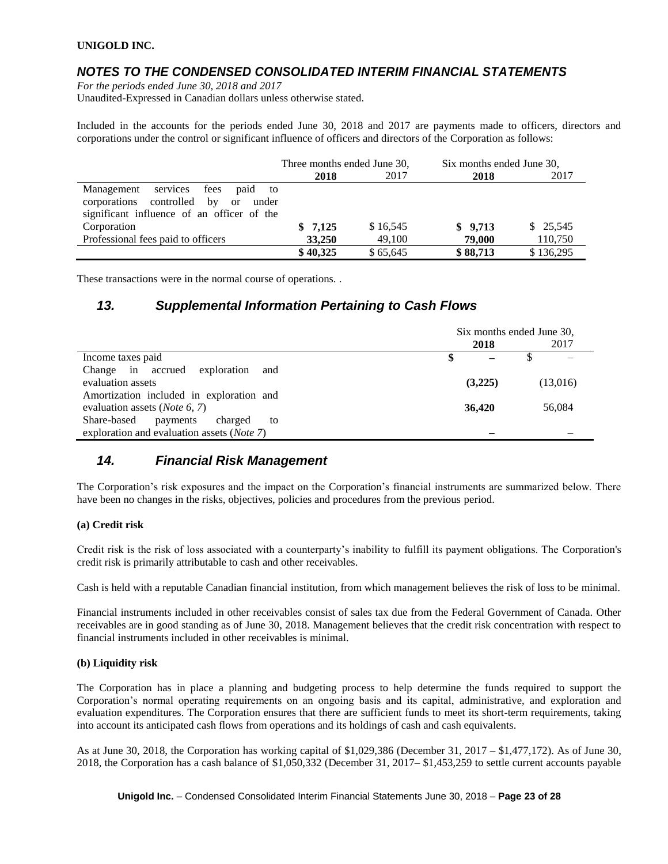### *NOTES TO THE CONDENSED CONSOLIDATED INTERIM FINANCIAL STATEMENTS*

*For the periods ended June 30, 2018 and 2017*

Unaudited-Expressed in Canadian dollars unless otherwise stated.

Included in the accounts for the periods ended June 30, 2018 and 2017 are payments made to officers, directors and corporations under the control or significant influence of officers and directors of the Corporation as follows:

|                                                                                                | Three months ended June 30, |          | Six months ended June 30, |           |
|------------------------------------------------------------------------------------------------|-----------------------------|----------|---------------------------|-----------|
|                                                                                                | 2018                        | 2017     | 2018                      | 2017      |
| services<br>fees paid to<br>Management<br>corporations controlled by<br><sub>or</sub><br>under |                             |          |                           |           |
| significant influence of an officer of the                                                     |                             |          |                           |           |
| Corporation                                                                                    | \$7,125                     | \$16,545 | \$9,713                   | \$25,545  |
| Professional fees paid to officers                                                             | 33,250                      | 49,100   | 79,000                    | 110,750   |
|                                                                                                | \$40,325                    | \$65,645 | \$88,713                  | \$136,295 |

These transactions were in the normal course of operations. .

### *13. Supplemental Information Pertaining to Cash Flows*

|                                                     | Six months ended June 30, |         |  |          |
|-----------------------------------------------------|---------------------------|---------|--|----------|
|                                                     |                           | 2018    |  | 2017     |
| Income taxes paid                                   |                           |         |  |          |
| Change in accrued exploration<br>and                |                           |         |  |          |
| evaluation assets                                   |                           | (3,225) |  | (13,016) |
| Amortization included in exploration and            |                           |         |  |          |
| evaluation assets ( <i>Note</i> 6, 7)               |                           | 36,420  |  | 56,084   |
| Share-based<br>payments<br>charged<br>to            |                           |         |  |          |
| exploration and evaluation assets ( <i>Note 7</i> ) |                           |         |  |          |

## *14. Financial Risk Management*

The Corporation's risk exposures and the impact on the Corporation's financial instruments are summarized below. There have been no changes in the risks, objectives, policies and procedures from the previous period.

#### **(a) Credit risk**

Credit risk is the risk of loss associated with a counterparty's inability to fulfill its payment obligations. The Corporation's credit risk is primarily attributable to cash and other receivables.

Cash is held with a reputable Canadian financial institution, from which management believes the risk of loss to be minimal.

Financial instruments included in other receivables consist of sales tax due from the Federal Government of Canada. Other receivables are in good standing as of June 30, 2018. Management believes that the credit risk concentration with respect to financial instruments included in other receivables is minimal.

#### **(b) Liquidity risk**

The Corporation has in place a planning and budgeting process to help determine the funds required to support the Corporation's normal operating requirements on an ongoing basis and its capital, administrative, and exploration and evaluation expenditures. The Corporation ensures that there are sufficient funds to meet its short-term requirements, taking into account its anticipated cash flows from operations and its holdings of cash and cash equivalents.

As at June 30, 2018, the Corporation has working capital of \$1,029,386 (December 31, 2017 – \$1,477,172). As of June 30, 2018, the Corporation has a cash balance of \$1,050,332 (December 31, 2017– \$1,453,259 to settle current accounts payable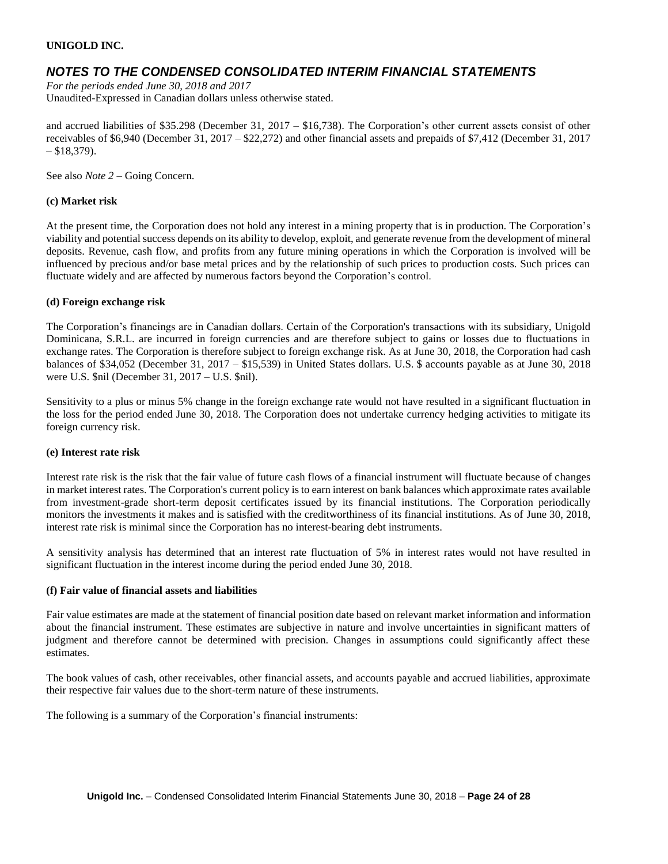### *NOTES TO THE CONDENSED CONSOLIDATED INTERIM FINANCIAL STATEMENTS*

*For the periods ended June 30, 2018 and 2017* Unaudited-Expressed in Canadian dollars unless otherwise stated.

and accrued liabilities of \$35.298 (December 31, 2017 – \$16,738). The Corporation's other current assets consist of other receivables of \$6,940 (December 31, 2017 – \$22,272) and other financial assets and prepaids of \$7,412 (December 31, 2017  $- $18,379$ ).

See also *Note 2* – Going Concern.

#### **(c) Market risk**

At the present time, the Corporation does not hold any interest in a mining property that is in production. The Corporation's viability and potential success depends on its ability to develop, exploit, and generate revenue from the development of mineral deposits. Revenue, cash flow, and profits from any future mining operations in which the Corporation is involved will be influenced by precious and/or base metal prices and by the relationship of such prices to production costs. Such prices can fluctuate widely and are affected by numerous factors beyond the Corporation's control.

#### **(d) Foreign exchange risk**

The Corporation's financings are in Canadian dollars. Certain of the Corporation's transactions with its subsidiary, Unigold Dominicana, S.R.L. are incurred in foreign currencies and are therefore subject to gains or losses due to fluctuations in exchange rates. The Corporation is therefore subject to foreign exchange risk. As at June 30, 2018, the Corporation had cash balances of \$34,052 (December 31, 2017 – \$15,539) in United States dollars. U.S. \$ accounts payable as at June 30, 2018 were U.S. \$nil (December 31, 2017 – U.S. \$nil).

Sensitivity to a plus or minus 5% change in the foreign exchange rate would not have resulted in a significant fluctuation in the loss for the period ended June 30, 2018. The Corporation does not undertake currency hedging activities to mitigate its foreign currency risk.

#### **(e) Interest rate risk**

Interest rate risk is the risk that the fair value of future cash flows of a financial instrument will fluctuate because of changes in market interest rates. The Corporation's current policy is to earn interest on bank balances which approximate rates available from investment-grade short-term deposit certificates issued by its financial institutions. The Corporation periodically monitors the investments it makes and is satisfied with the creditworthiness of its financial institutions. As of June 30, 2018, interest rate risk is minimal since the Corporation has no interest-bearing debt instruments.

A sensitivity analysis has determined that an interest rate fluctuation of 5% in interest rates would not have resulted in significant fluctuation in the interest income during the period ended June 30, 2018.

#### **(f) Fair value of financial assets and liabilities**

Fair value estimates are made at the statement of financial position date based on relevant market information and information about the financial instrument. These estimates are subjective in nature and involve uncertainties in significant matters of judgment and therefore cannot be determined with precision. Changes in assumptions could significantly affect these estimates.

The book values of cash, other receivables, other financial assets, and accounts payable and accrued liabilities, approximate their respective fair values due to the short-term nature of these instruments.

The following is a summary of the Corporation's financial instruments: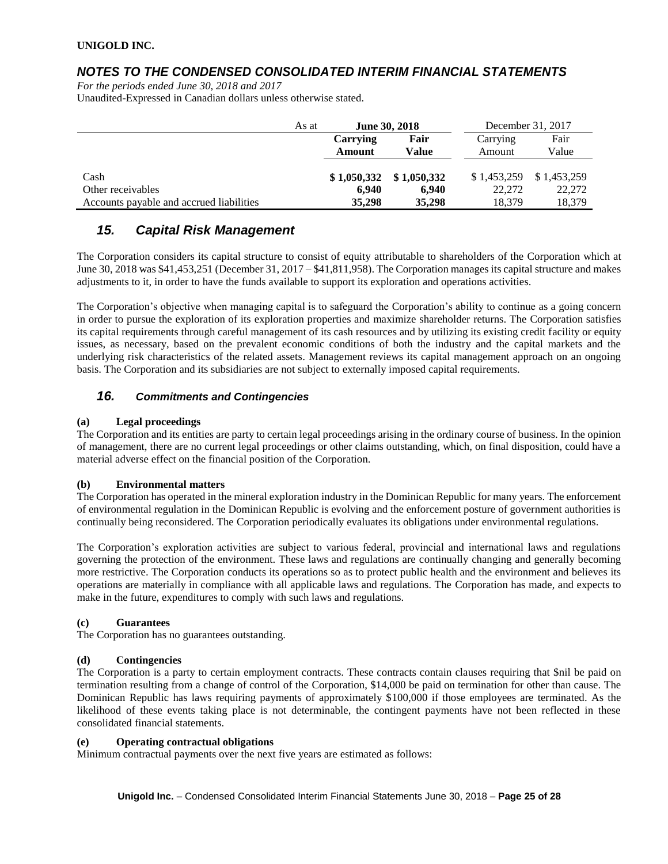## *NOTES TO THE CONDENSED CONSOLIDATED INTERIM FINANCIAL STATEMENTS*

*For the periods ended June 30, 2018 and 2017* Unaudited-Expressed in Canadian dollars unless otherwise stated.

|                                          | As at | <b>June 30, 2018</b> |             | December 31, 2017 |             |
|------------------------------------------|-------|----------------------|-------------|-------------------|-------------|
|                                          |       | Carrying             | Fair        | Carrying          | Fair        |
|                                          |       | <b>Amount</b>        | Value       | Amount            | Value       |
|                                          |       |                      |             |                   |             |
| Cash                                     |       | \$1,050,332          | \$1,050,332 | \$1,453,259       | \$1,453,259 |
| Other receivables                        |       | 6.940                | 6.940       | 22,272            | 22,272      |
| Accounts payable and accrued liabilities |       | 35,298               | 35,298      | 18.379            | 18,379      |

## *15. Capital Risk Management*

The Corporation considers its capital structure to consist of equity attributable to shareholders of the Corporation which at June 30, 2018 was \$41,453,251 (December 31, 2017 – \$41,811,958). The Corporation manages its capital structure and makes adjustments to it, in order to have the funds available to support its exploration and operations activities.

The Corporation's objective when managing capital is to safeguard the Corporation's ability to continue as a going concern in order to pursue the exploration of its exploration properties and maximize shareholder returns. The Corporation satisfies its capital requirements through careful management of its cash resources and by utilizing its existing credit facility or equity issues, as necessary, based on the prevalent economic conditions of both the industry and the capital markets and the underlying risk characteristics of the related assets. Management reviews its capital management approach on an ongoing basis. The Corporation and its subsidiaries are not subject to externally imposed capital requirements.

### *16. Commitments and Contingencies*

#### **(a) Legal proceedings**

The Corporation and its entities are party to certain legal proceedings arising in the ordinary course of business. In the opinion of management, there are no current legal proceedings or other claims outstanding, which, on final disposition, could have a material adverse effect on the financial position of the Corporation.

#### **(b) Environmental matters**

The Corporation has operated in the mineral exploration industry in the Dominican Republic for many years. The enforcement of environmental regulation in the Dominican Republic is evolving and the enforcement posture of government authorities is continually being reconsidered. The Corporation periodically evaluates its obligations under environmental regulations.

The Corporation's exploration activities are subject to various federal, provincial and international laws and regulations governing the protection of the environment. These laws and regulations are continually changing and generally becoming more restrictive. The Corporation conducts its operations so as to protect public health and the environment and believes its operations are materially in compliance with all applicable laws and regulations. The Corporation has made, and expects to make in the future, expenditures to comply with such laws and regulations.

#### **(c) Guarantees**

The Corporation has no guarantees outstanding.

#### **(d) Contingencies**

The Corporation is a party to certain employment contracts. These contracts contain clauses requiring that \$nil be paid on termination resulting from a change of control of the Corporation, \$14,000 be paid on termination for other than cause. The Dominican Republic has laws requiring payments of approximately \$100,000 if those employees are terminated. As the likelihood of these events taking place is not determinable, the contingent payments have not been reflected in these consolidated financial statements.

#### **(e) Operating contractual obligations**

Minimum contractual payments over the next five years are estimated as follows: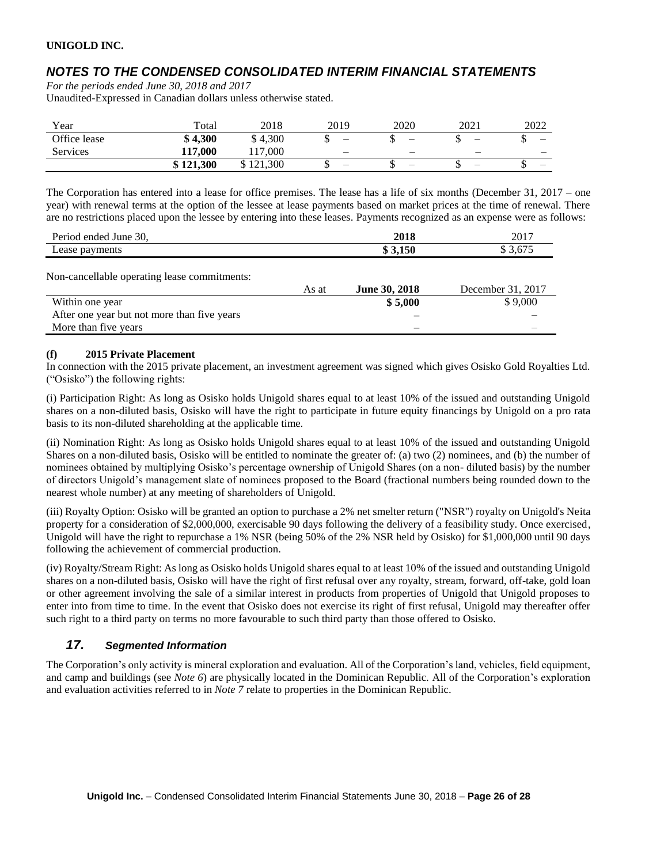## *NOTES TO THE CONDENSED CONSOLIDATED INTERIM FINANCIAL STATEMENTS*

*For the periods ended June 30, 2018 and 2017*

Unaudited-Expressed in Canadian dollars unless otherwise stated.

| Year         | Total     | 2018                   | 2019 | 2020 | 2021                     | 2022     |
|--------------|-----------|------------------------|------|------|--------------------------|----------|
| Office lease | \$4,300   | \$4,300                | –    |      | $\overline{\phantom{0}}$ | –<br>ω   |
| Services     | 117.000   | .000<br>1 <sub>7</sub> |      |      |                          | –        |
|              | \$121,300 | :1.300<br>21           | -    |      |                          | –<br>ιIJ |

The Corporation has entered into a lease for office premises. The lease has a life of six months (December 31, 2017 – one year) with renewal terms at the option of the lessee at lease payments based on market prices at the time of renewal. There are no restrictions placed upon the lessee by entering into these leases. Payments recognized as an expense were as follows:

| Period ended June 30, | 2018  | 2017  |
|-----------------------|-------|-------|
| $\text{case } r$      | 3,150 | $  -$ |
| payments              | ۱D    | 0.017 |

Non-cancellable operating lease commitments:

|                                             | As at | <b>June 30, 2018</b> | December 31, 2017 |
|---------------------------------------------|-------|----------------------|-------------------|
| Within one year                             |       | \$5,000              | \$9,000           |
| After one year but not more than five years |       |                      |                   |
| More than five years                        |       |                      |                   |

#### **(f) 2015 Private Placement**

In connection with the 2015 private placement, an investment agreement was signed which gives Osisko Gold Royalties Ltd. ("Osisko") the following rights:

(i) Participation Right: As long as Osisko holds Unigold shares equal to at least 10% of the issued and outstanding Unigold shares on a non-diluted basis, Osisko will have the right to participate in future equity financings by Unigold on a pro rata basis to its non-diluted shareholding at the applicable time.

(ii) Nomination Right: As long as Osisko holds Unigold shares equal to at least 10% of the issued and outstanding Unigold Shares on a non-diluted basis, Osisko will be entitled to nominate the greater of: (a) two (2) nominees, and (b) the number of nominees obtained by multiplying Osisko's percentage ownership of Unigold Shares (on a non- diluted basis) by the number of directors Unigold's management slate of nominees proposed to the Board (fractional numbers being rounded down to the nearest whole number) at any meeting of shareholders of Unigold.

(iii) Royalty Option: Osisko will be granted an option to purchase a 2% net smelter return ("NSR") royalty on Unigold's Neita property for a consideration of \$2,000,000, exercisable 90 days following the delivery of a feasibility study. Once exercised, Unigold will have the right to repurchase a 1% NSR (being 50% of the 2% NSR held by Osisko) for \$1,000,000 until 90 days following the achievement of commercial production.

(iv) Royalty/Stream Right: As long as Osisko holds Unigold shares equal to at least 10% of the issued and outstanding Unigold shares on a non-diluted basis, Osisko will have the right of first refusal over any royalty, stream, forward, off-take, gold loan or other agreement involving the sale of a similar interest in products from properties of Unigold that Unigold proposes to enter into from time to time. In the event that Osisko does not exercise its right of first refusal, Unigold may thereafter offer such right to a third party on terms no more favourable to such third party than those offered to Osisko.

### *17. Segmented Information*

The Corporation's only activity is mineral exploration and evaluation. All of the Corporation's land, vehicles, field equipment, and camp and buildings (see *Note 6*) are physically located in the Dominican Republic. All of the Corporation's exploration and evaluation activities referred to in *Note 7* relate to properties in the Dominican Republic.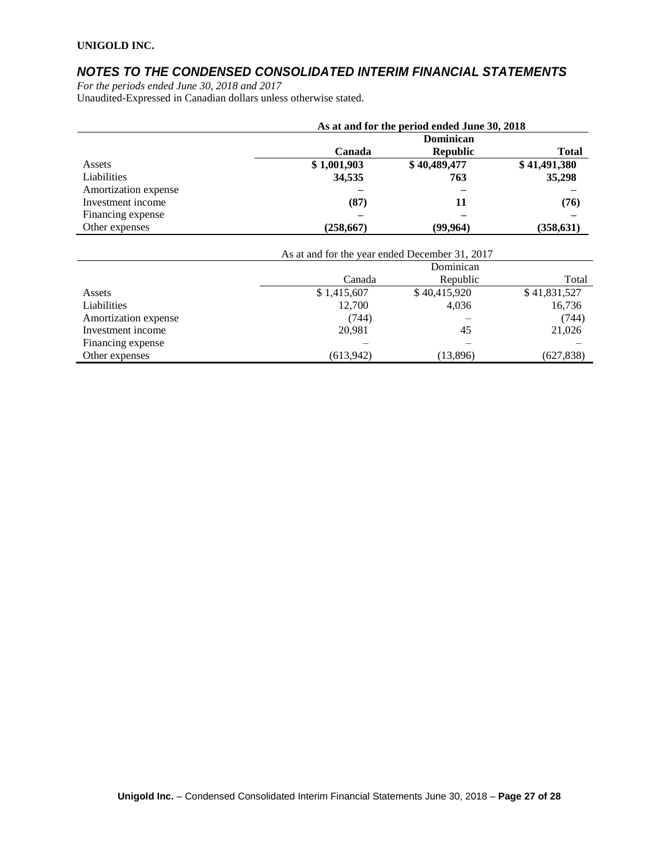## *NOTES TO THE CONDENSED CONSOLIDATED INTERIM FINANCIAL STATEMENTS*

*For the periods ended June 30, 2018 and 2017* Unaudited-Expressed in Canadian dollars unless otherwise stated.

|                      | As at and for the period ended June 30, 2018 |                  |              |  |  |
|----------------------|----------------------------------------------|------------------|--------------|--|--|
|                      |                                              | <b>Dominican</b> |              |  |  |
|                      | Canada                                       | <b>Republic</b>  | <b>Total</b> |  |  |
| Assets               | \$1,001,903                                  | \$40,489,477     | \$41,491,380 |  |  |
| Liabilities          | 34,535                                       | 763              | 35,298       |  |  |
| Amortization expense |                                              |                  |              |  |  |
| Investment income    | (87)                                         | 11               | (76)         |  |  |
| Financing expense    |                                              |                  |              |  |  |
| Other expenses       | (258, 667)                                   | (99, 964)        | (358, 631)   |  |  |
|                      |                                              |                  |              |  |  |

|                      | As at and for the year ended December 31, 2017 |              |              |  |  |
|----------------------|------------------------------------------------|--------------|--------------|--|--|
|                      | Dominican                                      |              |              |  |  |
|                      | Canada<br>Republic                             |              |              |  |  |
| Assets               | \$1,415,607                                    | \$40,415,920 | \$41,831,527 |  |  |
| Liabilities          | 12,700                                         | 4.036        | 16,736       |  |  |
| Amortization expense | (744)                                          |              | (744)        |  |  |
| Investment income    | 20,981                                         | 45           | 21,026       |  |  |
| Financing expense    |                                                |              |              |  |  |
| Other expenses       | (613,942)                                      | (13,896)     | (627, 838)   |  |  |